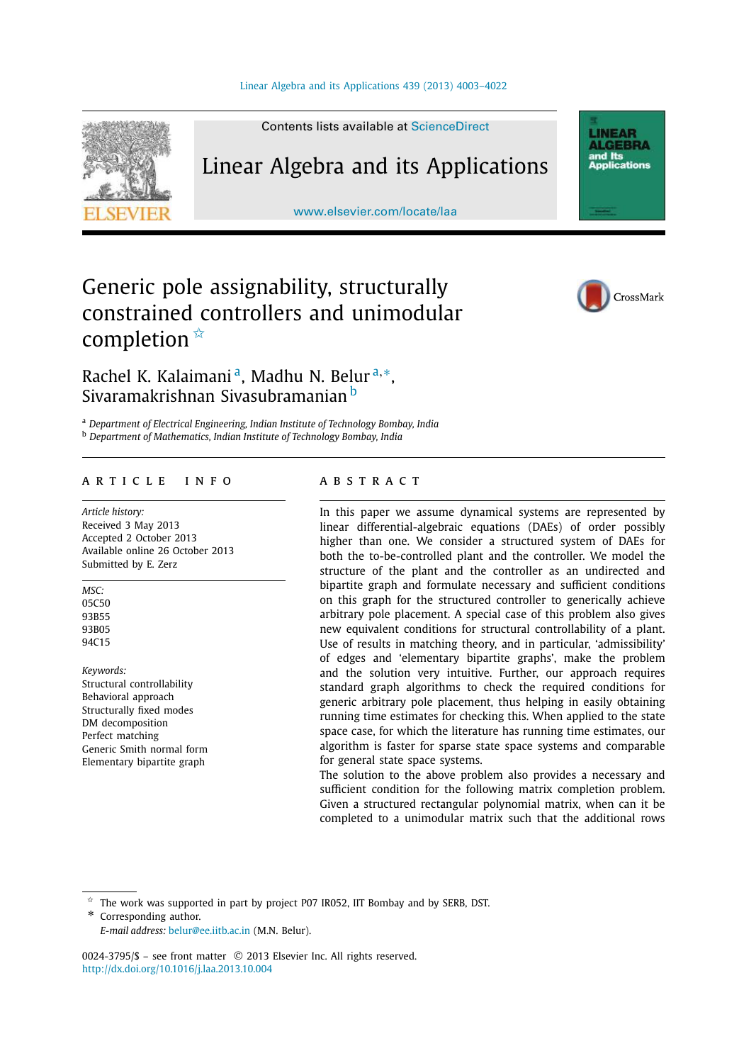

Contents lists available at ScienceDirect

## Linear Algebra and its Applications

www.elsevier.com/locate/laa

**LINEAR ALGERRA** and Its<br>Applications

# Generic pole assignability, structurally constrained controllers and unimodular completion  $\mathbb{\hat{R}}$



### Rachel K. Kalaimani<sup>a</sup>, Madhu N. Belur<sup>a,</sup>\*, Sivaramakrishnan Sivasubramanian <sup>b</sup>

<sup>a</sup> *Department of Electrical Engineering, Indian Institute of Technology Bombay, India* <sup>b</sup> *Department of Mathematics, Indian Institute of Technology Bombay, India*

#### article info abstract

*Article history:* Received 3 May 2013 Accepted 2 October 2013 Available online 26 October 2013 Submitted by E. Zerz

*MSC:* 05C50 93B55 93B05 94C15

*Keywords:* Structural controllability Behavioral approach Structurally fixed modes DM decomposition Perfect matching Generic Smith normal form Elementary bipartite graph

In this paper we assume dynamical systems are represented by linear differential-algebraic equations (DAEs) of order possibly higher than one. We consider a structured system of DAEs for both the to-be-controlled plant and the controller. We model the structure of the plant and the controller as an undirected and bipartite graph and formulate necessary and sufficient conditions on this graph for the structured controller to generically achieve arbitrary pole placement. A special case of this problem also gives new equivalent conditions for structural controllability of a plant. Use of results in matching theory, and in particular, 'admissibility' of edges and 'elementary bipartite graphs', make the problem and the solution very intuitive. Further, our approach requires standard graph algorithms to check the required conditions for generic arbitrary pole placement, thus helping in easily obtaining running time estimates for checking this. When applied to the state space case, for which the literature has running time estimates, our algorithm is faster for sparse state space systems and comparable for general state space systems.

The solution to the above problem also provides a necessary and sufficient condition for the following matrix completion problem. Given a structured rectangular polynomial matrix, when can it be completed to a unimodular matrix such that the additional rows

 $*$  The work was supported in part by project P07 IR052, IIT Bombay and by SERB, DST.

Corresponding author.

*E-mail address:* belur@ee.iitb.ac.in (M.N. Belur).

0024-3795/\$ - see front matter © 2013 Elsevier Inc. All rights reserved. http://dx.doi.org/10.1016/j.laa.2013.10.004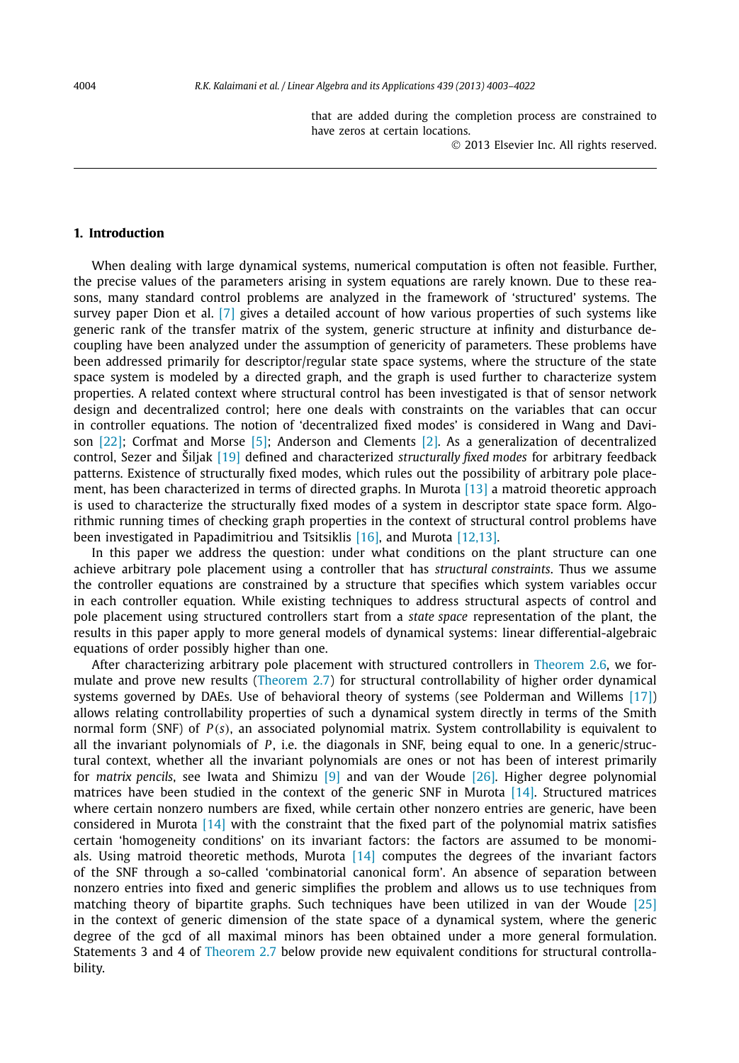that are added during the completion process are constrained to have zeros at certain locations.

2013 Elsevier Inc. All rights reserved.

#### **1. Introduction**

When dealing with large dynamical systems, numerical computation is often not feasible. Further, the precise values of the parameters arising in system equations are rarely known. Due to these reasons, many standard control problems are analyzed in the framework of 'structured' systems. The survey paper Dion et al. [7] gives a detailed account of how various properties of such systems like generic rank of the transfer matrix of the system, generic structure at infinity and disturbance decoupling have been analyzed under the assumption of genericity of parameters. These problems have been addressed primarily for descriptor/regular state space systems, where the structure of the state space system is modeled by a directed graph, and the graph is used further to characterize system properties. A related context where structural control has been investigated is that of sensor network design and decentralized control; here one deals with constraints on the variables that can occur in controller equations. The notion of 'decentralized fixed modes' is considered in Wang and Davison [22]; Corfmat and Morse [5]; Anderson and Clements [2]. As a generalization of decentralized control, Sezer and Šiljak [19] defined and characterized *structurally fixed modes* for arbitrary feedback patterns. Existence of structurally fixed modes, which rules out the possibility of arbitrary pole placement, has been characterized in terms of directed graphs. In Murota  $[13]$  a matroid theoretic approach is used to characterize the structurally fixed modes of a system in descriptor state space form. Algorithmic running times of checking graph properties in the context of structural control problems have been investigated in Papadimitriou and Tsitsiklis [16], and Murota [12,13].

In this paper we address the question: under what conditions on the plant structure can one achieve arbitrary pole placement using a controller that has *structural constraints*. Thus we assume the controller equations are constrained by a structure that specifies which system variables occur in each controller equation. While existing techniques to address structural aspects of control and pole placement using structured controllers start from a *state space* representation of the plant, the results in this paper apply to more general models of dynamical systems: linear differential-algebraic equations of order possibly higher than one.

After characterizing arbitrary pole placement with structured controllers in Theorem 2.6, we formulate and prove new results (Theorem 2.7) for structural controllability of higher order dynamical systems governed by DAEs. Use of behavioral theory of systems (see Polderman and Willems [17]) allows relating controllability properties of such a dynamical system directly in terms of the Smith normal form (SNF) of *P*(*s*), an associated polynomial matrix. System controllability is equivalent to all the invariant polynomials of *P* , i.e. the diagonals in SNF, being equal to one. In a generic/structural context, whether all the invariant polynomials are ones or not has been of interest primarily for *matrix pencils*, see Iwata and Shimizu [9] and van der Woude [26]. Higher degree polynomial matrices have been studied in the context of the generic SNF in Murota [14]. Structured matrices where certain nonzero numbers are fixed, while certain other nonzero entries are generic, have been considered in Murota [14] with the constraint that the fixed part of the polynomial matrix satisfies certain 'homogeneity conditions' on its invariant factors: the factors are assumed to be monomials. Using matroid theoretic methods, Murota [14] computes the degrees of the invariant factors of the SNF through a so-called 'combinatorial canonical form'. An absence of separation between nonzero entries into fixed and generic simplifies the problem and allows us to use techniques from matching theory of bipartite graphs. Such techniques have been utilized in van der Woude [25] in the context of generic dimension of the state space of a dynamical system, where the generic degree of the gcd of all maximal minors has been obtained under a more general formulation. Statements 3 and 4 of Theorem 2.7 below provide new equivalent conditions for structural controllability.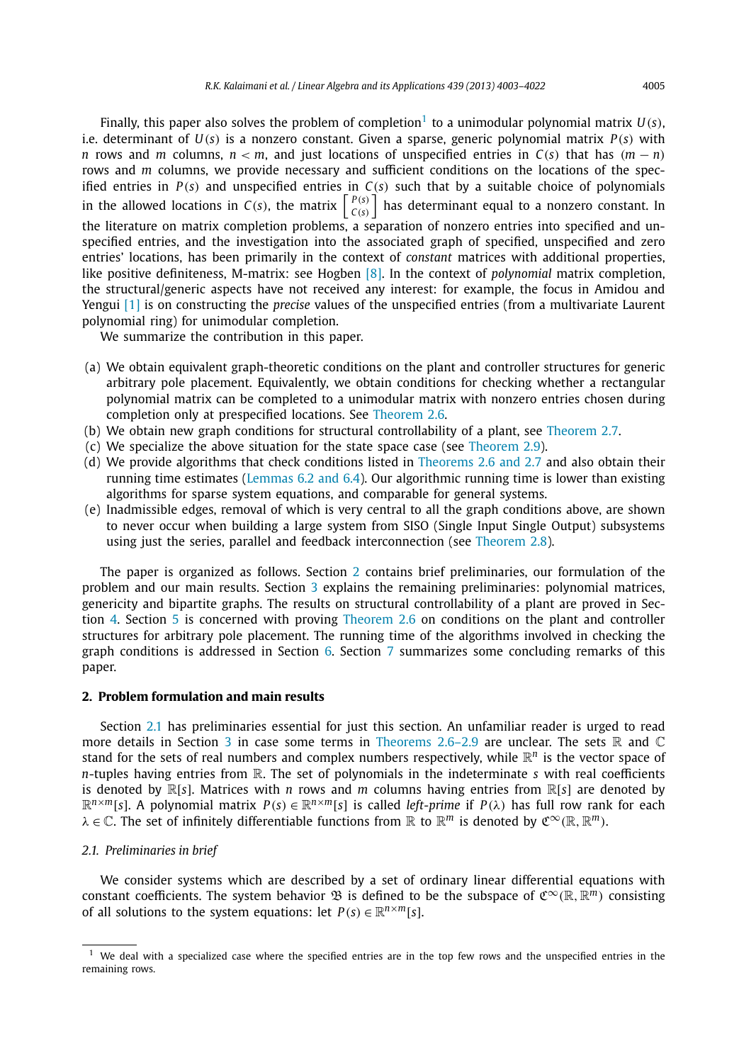Finally, this paper also solves the problem of completion<sup>1</sup> to a unimodular polynomial matrix  $U(s)$ , i.e. determinant of *U*(*s*) is a nonzero constant. Given a sparse, generic polynomial matrix *P*(*s*) with *<sup>n</sup>* rows and *<sup>m</sup>* columns, *<sup>n</sup>* < *<sup>m</sup>*, and just locations of unspecified entries in *<sup>C</sup>*(*s*) that has (*<sup>m</sup>* − *<sup>n</sup>*) rows and *m* columns, we provide necessary and sufficient conditions on the locations of the specified entries in  $P(s)$  and unspecified entries in  $C(s)$  such that by a suitable choice of polynomials in the allowed locations in *C*(*s*), the matrix  $\begin{bmatrix} P(s) \\ C(s) \end{bmatrix}$  $\left.\begin{array}{c} P(s) \ C(s) \end{array}\right]$  has determinant equal to a nonzero constant. In the literature on matrix completion problems, a separation of nonzero entries into specified and unspecified entries, and the investigation into the associated graph of specified, unspecified and zero entries' locations, has been primarily in the context of *constant* matrices with additional properties, like positive definiteness, M-matrix: see Hogben [8]. In the context of *polynomial* matrix completion, the structural/generic aspects have not received any interest: for example, the focus in Amidou and Yengui [1] is on constructing the *precise* values of the unspecified entries (from a multivariate Laurent polynomial ring) for unimodular completion.

We summarize the contribution in this paper.

- (a) We obtain equivalent graph-theoretic conditions on the plant and controller structures for generic arbitrary pole placement. Equivalently, we obtain conditions for checking whether a rectangular polynomial matrix can be completed to a unimodular matrix with nonzero entries chosen during completion only at prespecified locations. See Theorem 2.6.
- (b) We obtain new graph conditions for structural controllability of a plant, see Theorem 2.7.
- (c) We specialize the above situation for the state space case (see Theorem 2.9).
- (d) We provide algorithms that check conditions listed in Theorems 2.6 and 2.7 and also obtain their running time estimates (Lemmas  $6.2$  and  $6.4$ ). Our algorithmic running time is lower than existing algorithms for sparse system equations, and comparable for general systems.
- (e) Inadmissible edges, removal of which is very central to all the graph conditions above, are shown to never occur when building a large system from SISO (Single Input Single Output) subsystems using just the series, parallel and feedback interconnection (see Theorem 2.8).

The paper is organized as follows. Section 2 contains brief preliminaries, our formulation of the problem and our main results. Section 3 explains the remaining preliminaries: polynomial matrices, genericity and bipartite graphs. The results on structural controllability of a plant are proved in Section 4. Section 5 is concerned with proving Theorem 2.6 on conditions on the plant and controller structures for arbitrary pole placement. The running time of the algorithms involved in checking the graph conditions is addressed in Section 6. Section 7 summarizes some concluding remarks of this paper.

#### **2. Problem formulation and main results**

Section 2.1 has preliminaries essential for just this section. An unfamiliar reader is urged to read more details in Section 3 in case some terms in Theorems 2.6–2.9 are unclear. The sets  $\mathbb R$  and  $\mathbb C$ stand for the sets of real numbers and complex numbers respectively, while  $\mathbb{R}^n$  is the vector space of *n*-tuples having entries from R. The set of polynomials in the indeterminate *s* with real coefficients is denoted by <sup>R</sup>[*s*]. Matrices with *<sup>n</sup>* rows and *<sup>m</sup>* columns having entries from <sup>R</sup>[*s*] are denoted by  $\mathbb{R}^{n \times m}[s]$ . A polynomial matrix  $P(s) \in \mathbb{R}^{n \times m}[s]$  is called *left-prime* if  $P(\lambda)$  has full row rank for each  $\lambda \in \mathbb{C}$ . The set of infinitely differentiable functions from  $\mathbb{R}$  to  $\mathbb{R}^m$  is denoted by  $\mathfrak{C}^\infty(\mathbb{R}, \mathbb{R}^m)$ .

#### *2.1. Preliminaries in brief*

We consider systems which are described by a set of ordinary linear differential equations with constant coefficients. The system behavior  $\mathfrak B$  is defined to be the subspace of  $\mathfrak C^\infty(\mathbb R,\mathbb R^{\bar m})$  consisting of all solutions to the system equations: let  $P(s) \in \mathbb{R}^{n \times m}[s]$ .

 $1$  We deal with a specialized case where the specified entries are in the top few rows and the unspecified entries in the remaining rows.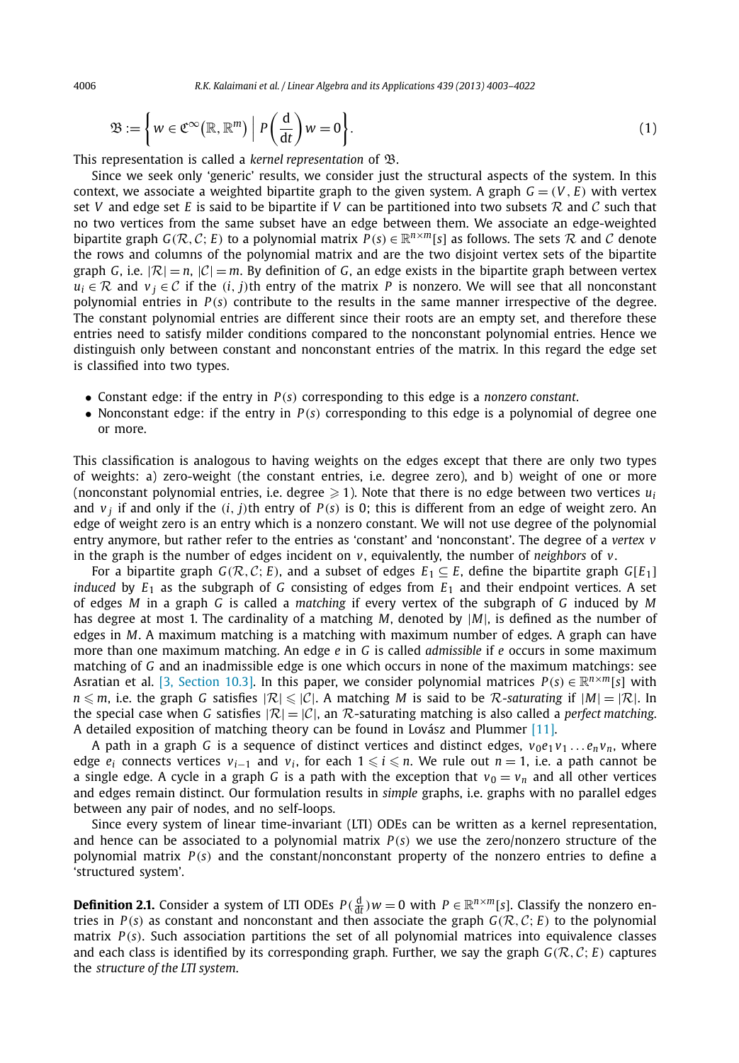$$
\mathfrak{B} := \left\{ w \in \mathfrak{C}^{\infty}(\mathbb{R}, \mathbb{R}^{m}) \; \Big| \; P\left(\frac{d}{dt}\right) w = 0 \right\}.
$$
 (1)

This representation is called a *kernel representation* of B.

Since we seek only 'generic' results, we consider just the structural aspects of the system. In this context, we associate a weighted bipartite graph to the given system. A graph  $G = (V, E)$  with vertex set *V* and edge set *E* is said to be bipartite if *V* can be partitioned into two subsets  $R$  and  $C$  such that no two vertices from the same subset have an edge between them. We associate an edge-weighted bipartite graph  $G(\mathcal{R}, \mathcal{C}; E)$  to a polynomial matrix  $P(s) \in \mathbb{R}^{n \times m}[s]$  as follows. The sets  $\mathcal{R}$  and  $\mathcal{C}$  denote the rows and columns of the polynomial matrix and are the two disjoint vertex sets of the bipartite graph *G*, i.e.  $|\mathcal{R}| = n$ ,  $|\mathcal{C}| = m$ . By definition of *G*, an edge exists in the bipartite graph between vertex  $u_i \in \mathcal{R}$  and  $v_j \in \mathcal{C}$  if the (*i*, *j*)th entry of the matrix *P* is nonzero. We will see that all nonconstant polynomial entries in *P*(*s*) contribute to the results in the same manner irrespective of the degree. The constant polynomial entries are different since their roots are an empty set, and therefore these entries need to satisfy milder conditions compared to the nonconstant polynomial entries. Hence we distinguish only between constant and nonconstant entries of the matrix. In this regard the edge set is classified into two types.

- Constant edge: if the entry in *<sup>P</sup>*(*s*) corresponding to this edge is a *nonzero constant*.
- Nonconstant edge: if the entry in *<sup>P</sup>*(*s*) corresponding to this edge is a polynomial of degree one or more.

This classification is analogous to having weights on the edges except that there are only two types of weights: a) zero-weight (the constant entries, i.e. degree zero), and b) weight of one or more (nonconstant polynomial entries, i.e. degree  $\geqslant$  1). Note that there is no edge between two vertices  $u_i$ and *v <sup>j</sup>* if and only if the (*i*, *j*)th entry of *P*(*s*) is 0; this is different from an edge of weight zero. An edge of weight zero is an entry which is a nonzero constant. We will not use degree of the polynomial entry anymore, but rather refer to the entries as 'constant' and 'nonconstant'. The degree of a *vertex v* in the graph is the number of edges incident on *v*, equivalently, the number of *neighbors* of *v*.

For a bipartite graph  $G(\mathcal{R}, \mathcal{C}; E)$ , and a subset of edges  $E_1 \subseteq E$ , define the bipartite graph  $G[E_1]$ *induced* by  $E_1$  as the subgraph of *G* consisting of edges from  $E_1$  and their endpoint vertices. A set of edges *M* in a graph *G* is called a *matching* if every vertex of the subgraph of *G* induced by *M* has degree at most 1. The cardinality of a matching *<sup>M</sup>*, denoted by |*M*|, is defined as the number of edges in *M*. A maximum matching is a matching with maximum number of edges. A graph can have more than one maximum matching. An edge *e* in *G* is called *admissible* if *e* occurs in some maximum matching of *G* and an inadmissible edge is one which occurs in none of the maximum matchings: see Asratian et al. [3, Section 10.3]. In this paper, we consider polynomial matrices  $P(s) \in \mathbb{R}^{n \times m}[s]$  with  $n \le m$ , i.e. the graph *G* satisfies  $|\mathcal{R}| \le |\mathcal{C}|$ . A matching *M* is said to be *R*-saturating if  $|M| = |\mathcal{R}|$ . In the special case when *G* satisfies  $|\mathcal{R}| = |\mathcal{C}|$ , an R-saturating matching is also called a *perfect matching*. A detailed exposition of matching theory can be found in Lovász and Plummer [11].

A path in a graph G is a sequence of distinct vertices and distinct edges,  $v_0e_1v_1...e_nv_n$ , where edge  $e_i$  connects vertices  $v_{i-1}$  and  $v_i$ , for each  $1 \le i \le n$ . We rule out  $n = 1$ , i.e. a path cannot be a single edge. A cycle in a graph *G* is a path with the exception that  $v_0 = v_n$  and all other vertices and edges remain distinct. Our formulation results in *simple* graphs, i.e. graphs with no parallel edges between any pair of nodes, and no self-loops.

Since every system of linear time-invariant (LTI) ODEs can be written as a kernel representation, and hence can be associated to a polynomial matrix  $P(s)$  we use the zero/nonzero structure of the polynomial matrix *P*(*s*) and the constant/nonconstant property of the nonzero entries to define a 'structured system'.

**Definition 2.1.** Consider a system of LTI ODEs  $P(\frac{d}{dt})w = 0$  with  $P \in \mathbb{R}^{n \times m}[s]$ . Classify the nonzero entries in  $P(s)$  as constant and nonconstant and then associate the graph  $G(\mathcal{R}, C; E)$  to the polynomial matrix *P*(*s*). Such association partitions the set of all polynomial matrices into equivalence classes and each class is identified by its corresponding graph. Further, we say the graph  $G(\mathcal{R}, \mathcal{C}; E)$  captures the *structure of the LTI system*.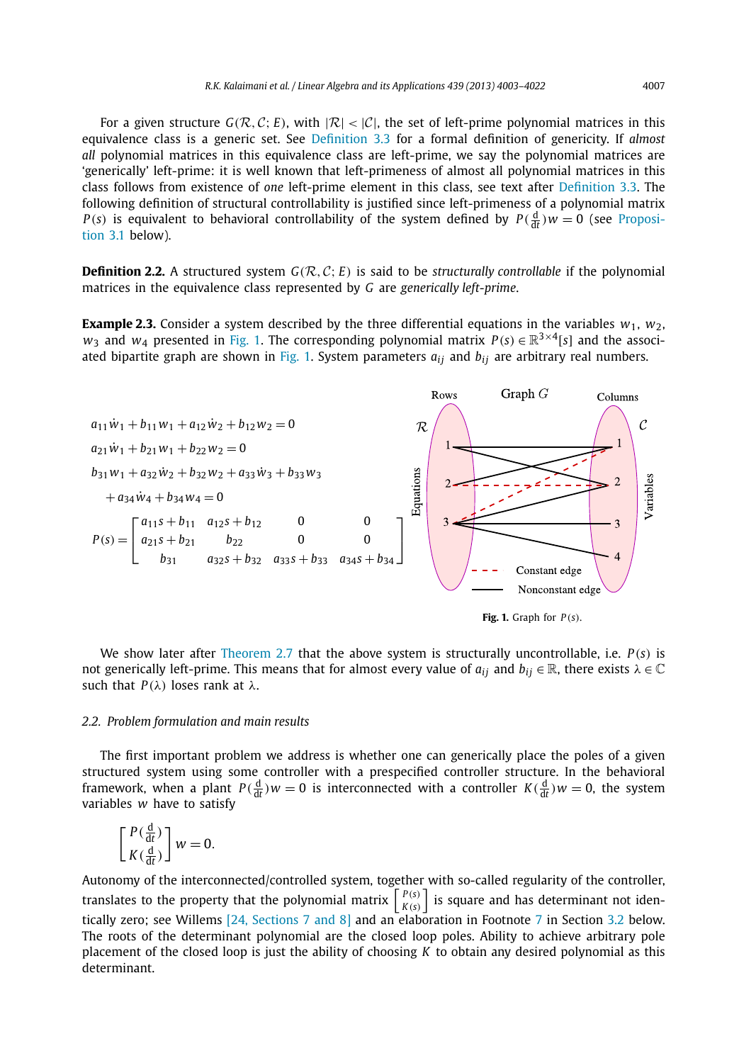For a given structure  $G(\mathcal{R}, \mathcal{C}; E)$ , with  $|\mathcal{R}| < |\mathcal{C}|$ , the set of left-prime polynomial matrices in this equivalence class is a generic set. See Definition 3.3 for a formal definition of genericity. If *almost all* polynomial matrices in this equivalence class are left-prime, we say the polynomial matrices are 'generically' left-prime: it is well known that left-primeness of almost all polynomial matrices in this class follows from existence of *one* left-prime element in this class, see text after Definition 3.3. The following definition of structural controllability is justified since left-primeness of a polynomial matrix *P*(*s*) is equivalent to behavioral controllability of the system defined by  $P(\frac{d}{dt})w = 0$  (see Proposition 3.1 below).

**Definition 2.2.** A structured system  $G(R, C; E)$  is said to be *structurally controllable* if the polynomial matrices in the equivalence class represented by *G* are *generically left-prime*.

**Example 2.3.** Consider a system described by the three differential equations in the variables  $w_1$ ,  $w_2$ , *w*<sub>3</sub> and *w*<sub>4</sub> presented in Fig. 1. The corresponding polynomial matrix  $P(s) \in \mathbb{R}^{3 \times 4}[s]$  and the associated bipartite graph are shown in Fig. 1. System parameters *aij* and *bij* are arbitrary real numbers.



**Fig. 1.** Graph for *P*(*s*).

We show later after Theorem 2.7 that the above system is structurally uncontrollable, i.e. *P*(*s*) is not generically left-prime. This means that for almost every value of  $a_{ij}$  and  $b_{ij} \in \mathbb{R}$ , there exists  $\lambda \in \mathbb{C}$ such that  $P(\lambda)$  loses rank at  $\lambda$ .

### *2.2. Problem formulation and main results*

The first important problem we address is whether one can generically place the poles of a given structured system using some controller with a prespecified controller structure. In the behavioral framework, when a plant  $P(\frac{d}{dt})w = 0$  is interconnected with a controller  $K(\frac{d}{dt})w = 0$ , the system variables *w* have to satisfy

$$
\begin{bmatrix} P(\frac{\mathrm{d}}{\mathrm{d}t}) \\ K(\frac{\mathrm{d}}{\mathrm{d}t}) \end{bmatrix} w = 0.
$$

Autonomy of the interconnected/controlled system, together with so-called regularity of the controller, translates to the property that the polynomial matrix  $\begin{bmatrix} P(s) \\ V(s) \end{bmatrix}$  $\left\lfloor \frac{P(s)}{K(s)} \right\rfloor$  is square and has determinant not identically zero; see Willems [24, Sections 7 and 8] and an elaboration in Footnote 7 in Section 3.2 below. The roots of the determinant polynomial are the closed loop poles. Ability to achieve arbitrary pole placement of the closed loop is just the ability of choosing *K* to obtain any desired polynomial as this determinant.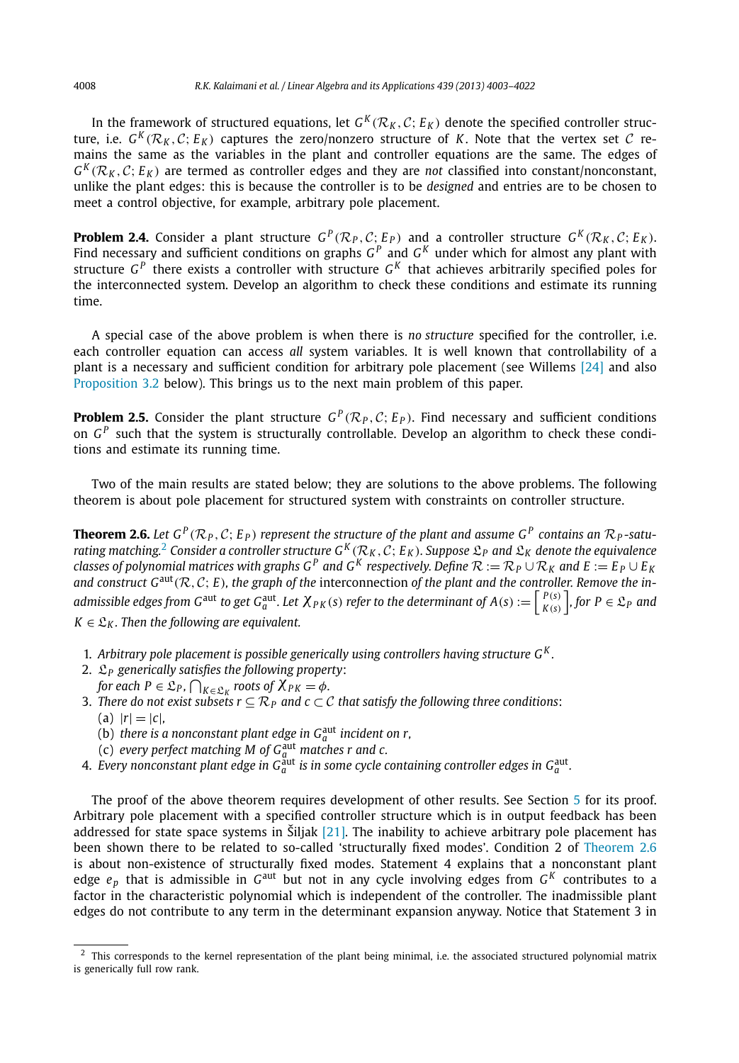In the framework of structured equations, let  $G^K(\mathcal{R}_K, \mathcal{C}; E_K)$  denote the specified controller structure, i.e.  $G^K(\mathcal{R}_K, \mathcal{C}; E_K)$  captures the zero/nonzero structure of *K*. Note that the vertex set *C* remains the same as the variables in the plant and controller equations are the same. The edges of  $G^{K}(R_{K}, C; E_{K})$  are termed as controller edges and they are *not* classified into constant/nonconstant, unlike the plant edges: this is because the controller is to be *designed* and entries are to be chosen to meet a control objective, for example, arbitrary pole placement.

**Problem 2.4.** Consider a plant structure  $G^P(\mathcal{R}_P, \mathcal{C}; E_P)$  and a controller structure  $G^K(\mathcal{R}_K, \mathcal{C}; E_K)$ . Find necessary and sufficient conditions on graphs  $G^P$  and  $G^K$  under which for almost any plant with structure *G P* there exists a controller with structure *G K* that achieves arbitrarily specified poles for the interconnected system. Develop an algorithm to check these conditions and estimate its running time.

A special case of the above problem is when there is *no structure* specified for the controller, i.e. each controller equation can access *all* system variables. It is well known that controllability of a plant is a necessary and sufficient condition for arbitrary pole placement (see Willems [24] and also Proposition 3.2 below). This brings us to the next main problem of this paper.

**Problem 2.5.** Consider the plant structure  $G^P(\mathcal{R}_P, C; E_P)$ . Find necessary and sufficient conditions on *G P* such that the system is structurally controllable. Develop an algorithm to check these conditions and estimate its running time.

Two of the main results are stated below; they are solutions to the above problems. The following theorem is about pole placement for structured system with constraints on controller structure.

**Theorem 2.6.** Let  $G^P(\mathcal{R}_P, \mathcal{C}; E_P)$  represent the structure of the plant and assume  $G^P$  contains an  $\mathcal{R}_P$ -saturating matching.<sup>2</sup> Consider a controller structure  $G^K(\mathcal{R}_K, C; E_K)$ . Suppose  $\mathfrak{L}_P$  and  $\mathfrak{L}_K$  denote the equivalence classes of polynomial matrices with graphs  $G^P$  and  $G^K$  respectively. Define  $\mathcal{R} := \mathcal{R}_$ *and construct G*aut(R, <sup>C</sup>; *<sup>E</sup>*)*, the graph of the* interconnection *of the plant and the controller. Remove the in* $a$ dmissible edges from G<sup>aut</sup> to get G $_a^{\rm aut}$ . Let  $\chi_{PK}(s)$  refer to the determinant of  $A(s):=\left\lceil\frac{P(s)}{K(s)}\right\rceil$  $\begin{bmatrix} P(s) \\ K(s) \end{bmatrix}$ , for  $P \in \mathfrak{L}_P$  and  $K \in \mathfrak{L}_K$ . Then the following are equivalent.

- 1. *Arbitrary pole placement is possible generically using controllers having structure G<sup>K</sup> .*
- 2. L*<sup>P</sup> generically satisfies the following property*: *for each P*  $\in$   $\mathfrak{L}_P$ ,  $\bigcap_{K \in \mathfrak{L}_K}$  roots of  $\chi_{PK} = \phi$ .<br>*There do not wist whether*  $\subseteq \mathcal{D}$ , and  $\phi \subseteq \phi$ .
- 3. *There do not exist subsets*  $r \subseteq \mathcal{R}_P$  *and*  $c \subset \mathcal{C}$  *that satisfy the following three conditions:* 
	- $(r| = |c|)$
	- (b) *there is a nonconstant plant edge in*  $G_a^{\text{aut}}$  *incident on r,*
	- (c) *every perfect matching M of G*aut *<sup>a</sup> matches r and c.*
- 4. *Every nonconstant plant edge in*  $G_a^{\text{aut}}$  *is in some cycle containing controller edges in*  $G_a^{\text{aut}}$ *.*

The proof of the above theorem requires development of other results. See Section 5 for its proof. Arbitrary pole placement with a specified controller structure which is in output feedback has been addressed for state space systems in Šiljak  $[21]$ . The inability to achieve arbitrary pole placement has been shown there to be related to so-called 'structurally fixed modes'. Condition 2 of Theorem 2.6 is about non-existence of structurally fixed modes. Statement 4 explains that a nonconstant plant edge  $e_p$  that is admissible in  $G^{\text{aut}}$  but not in any cycle involving edges from  $G^K$  contributes to a factor in the characteristic polynomial which is independent of the controller. The inadmissible plant edges do not contribute to any term in the determinant expansion anyway. Notice that Statement 3 in

<sup>&</sup>lt;sup>2</sup> This corresponds to the kernel representation of the plant being minimal, i.e. the associated structured polynomial matrix is generically full row rank.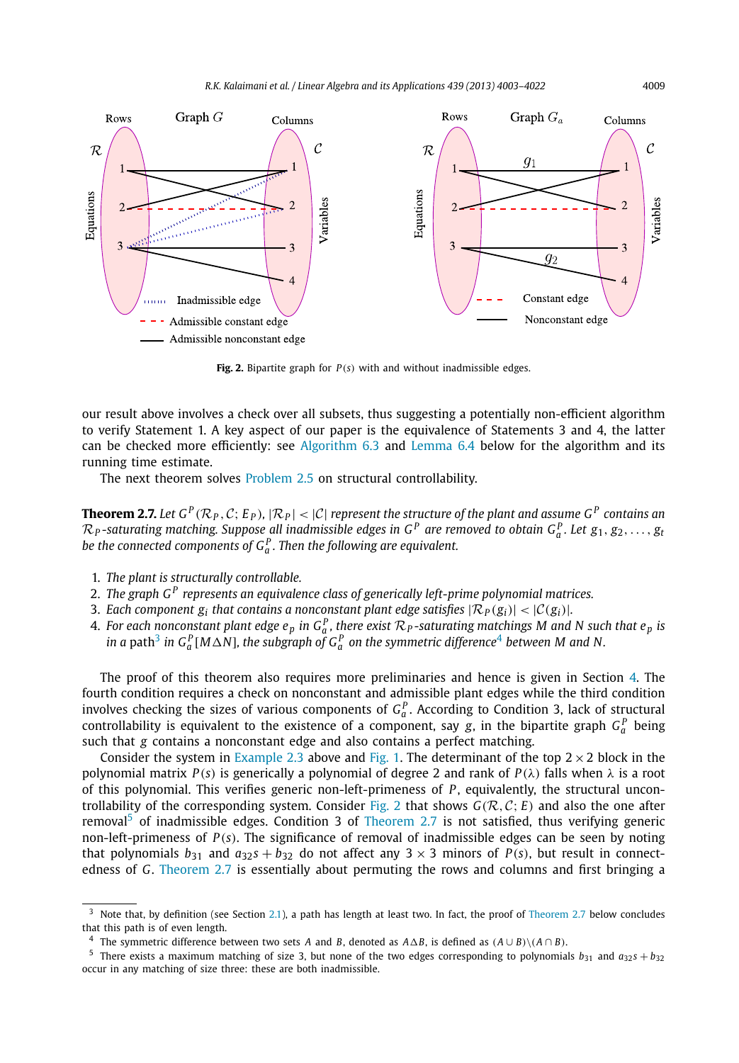

**Fig. 2.** Bipartite graph for *P*(*s*) with and without inadmissible edges.

our result above involves a check over all subsets, thus suggesting a potentially non-efficient algorithm to verify Statement 1. A key aspect of our paper is the equivalence of Statements 3 and 4, the latter can be checked more efficiently: see Algorithm 6.3 and Lemma 6.4 below for the algorithm and its running time estimate.

The next theorem solves Problem 2.5 on structural controllability.

**Theorem 2.7.** Let  $G^P(R_P, C; E_P)$ ,  $|R_P| < |C|$  represent the structure of the plant and assume  $G^P$  contains an  $\mathcal{R}_P$ -saturating matching. Suppose all inadmissible edges in G<sup>P</sup> are removed to obtain G<sub>a</sub><sup>n</sup>. Let  $g_1, g_2, \ldots, g_t$ be the connected components of  $G_a^P.$  Then the following are equivalent.

- 1. *The plant is structurally controllable.*
- 2. *The graph G<sup>P</sup> represents an equivalence class of generically left-prime polynomial matrices.*
- 3. Each component  $g_i$  that contains a nonconstant plant edge satisfies  $|\mathcal{R}_P(g_i)| < |\mathcal{C}(g_i)|$ .
- 4. *For each nonconstant plant edge*  $e_p$  *in*  $G_a^P$ *, there exist*  $\mathcal{R}_P$ *-saturating matchings M and N such that*  $e_p$  *is* in a path $^3$  in  $G_a^P[M\Delta N]$ , the subgraph of  $G_a^P$  on the symmetric difference<sup>4</sup> between M and N.

The proof of this theorem also requires more preliminaries and hence is given in Section 4. The fourth condition requires a check on nonconstant and admissible plant edges while the third condition involves checking the sizes of various components of  $G_a^P$ . According to Condition 3, lack of structural controllability is equivalent to the existence of a component, say *g*, in the bipartite graph  $G_a^P$  being such that *g* contains a nonconstant edge and also contains a perfect matching.

Consider the system in Example 2.3 above and Fig. 1. The determinant of the top  $2 \times 2$  block in the polynomial matrix *P*(*s*) is generically a polynomial of degree 2 and rank of *P*(λ) falls when λ is a root of this polynomial. This verifies generic non-left-primeness of *P* , equivalently, the structural uncontrollability of the corresponding system. Consider Fig. 2 that shows  $G(\mathcal{R}, \mathcal{C}; E)$  and also the one after removal<sup>5</sup> of inadmissible edges. Condition 3 of Theorem 2.7 is not satisfied, thus verifying generic non-left-primeness of *P*(*s*). The significance of removal of inadmissible edges can be seen by noting that polynomials  $b_{31}$  and  $a_{32}s + b_{32}$  do not affect any  $3 \times 3$  minors of  $P(s)$ , but result in connectedness of *G*. Theorem 2.7 is essentially about permuting the rows and columns and first bringing a

 $3$  Note that, by definition (see Section 2.1), a path has length at least two. In fact, the proof of Theorem 2.7 below concludes that this path is of even length.

<sup>4</sup> The symmetric difference between two sets *A* and *B*, denoted as  $A\Delta B$ , is defined as  $(A \cup B) \setminus (A \cap B)$ .<br>5 There evists a maximum matching of size 3 but none of the two edges corresponding to polynomial

There exists a maximum matching of size 3, but none of the two edges corresponding to polynomials  $b_{31}$  and  $a_{32}$ *s* +  $b_{32}$ occur in any matching of size three: these are both inadmissible.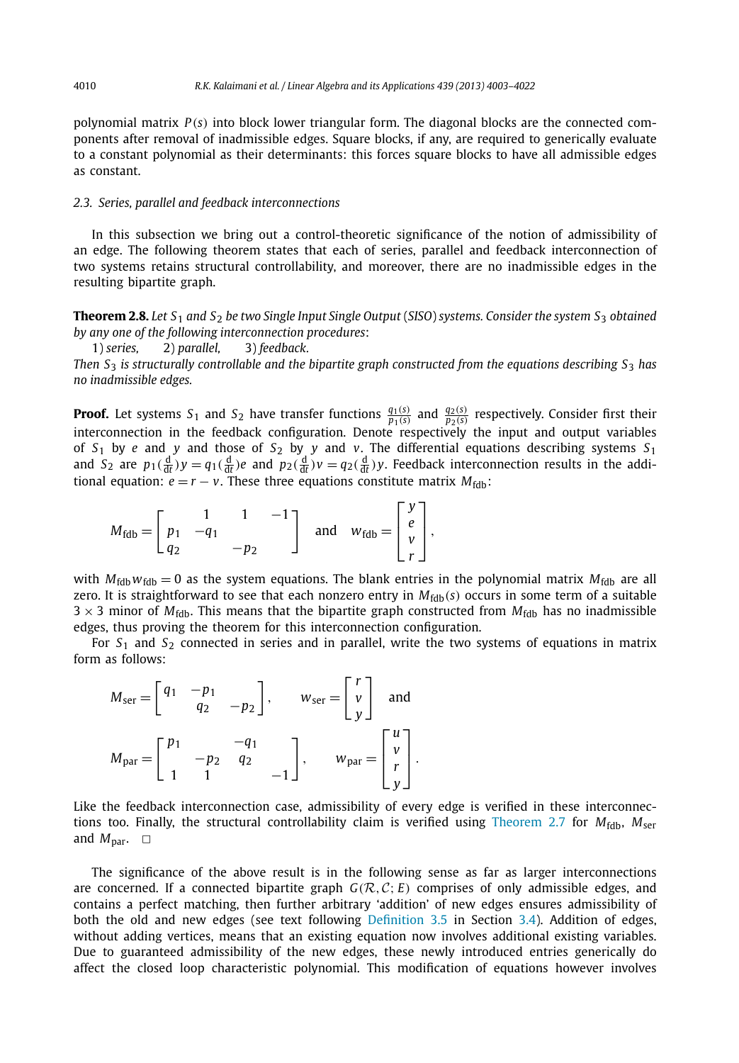polynomial matrix *P*(*s*) into block lower triangular form. The diagonal blocks are the connected components after removal of inadmissible edges. Square blocks, if any, are required to generically evaluate to a constant polynomial as their determinants: this forces square blocks to have all admissible edges as constant.

#### *2.3. Series, parallel and feedback interconnections*

In this subsection we bring out a control-theoretic significance of the notion of admissibility of an edge. The following theorem states that each of series, parallel and feedback interconnection of two systems retains structural controllability, and moreover, there are no inadmissible edges in the resulting bipartite graph.

**Theorem 2.8.** *Let S*<sup>1</sup> *and S*<sup>2</sup> *be two Single Input Single Output* (*SISO*) *systems. Consider the system S*<sup>3</sup> *obtained by any one of the following interconnection procedures*:

1) *series,* 2) *parallel,* 3) *feedback.*

*Then S*<sup>3</sup> *is structurally controllable and the bipartite graph constructed from the equations describing S*<sup>3</sup> *has no inadmissible edges.*

**Proof.** Let systems  $S_1$  and  $S_2$  have transfer functions  $\frac{q_1(s)}{p_1(s)}$  and  $\frac{q_2(s)}{p_2(s)}$  respectively. Consider first their interconnection in the feedback configuration. Denote respectively the input and output variables of *S*<sup>1</sup> by *e* and *y* and those of *S*<sup>2</sup> by *y* and *v*. The differential equations describing systems *S*<sup>1</sup> and  $S_2$  are  $p_1(\frac{d}{dt})y = q_1(\frac{d}{dt})e$  and  $p_2(\frac{d}{dt})v = q_2(\frac{d}{dt})y$ . Feedback interconnection results in the additional equation:  $e = r - v$ . These three equations constitute matrix  $M_{\text{fdb}}$ :

$$
M_{\text{fdb}} = \begin{bmatrix} 1 & 1 & -1 \\ p_1 & -q_1 & \\ q_2 & & -p_2 \end{bmatrix} \text{ and } w_{\text{fdb}} = \begin{bmatrix} y \\ e \\ v \\ r \end{bmatrix},
$$

with  $M_{\text{fidb}}$   $w_{\text{fidb}} = 0$  as the system equations. The blank entries in the polynomial matrix  $M_{\text{fidb}}$  are all zero. It is straightforward to see that each nonzero entry in  $M_{\text{fdb}}(s)$  occurs in some term of a suitable  $3 \times 3$  minor of *M*<sub>fdb</sub>. This means that the bipartite graph constructed from *M*<sub>fdb</sub> has no inadmissible edges, thus proving the theorem for this interconnection configuration.

For *S*<sup>1</sup> and *S*<sup>2</sup> connected in series and in parallel, write the two systems of equations in matrix form as follows:

$$
M_{\text{ser}} = \begin{bmatrix} q_1 & -p_1 \\ q_2 & -p_2 \end{bmatrix}, \qquad W_{\text{ser}} = \begin{bmatrix} r \\ v \\ y \end{bmatrix} \text{ and}
$$

$$
M_{\text{par}} = \begin{bmatrix} p_1 & -q_1 \\ -p_2 & q_2 \\ 1 & 1 & -1 \end{bmatrix}, \qquad W_{\text{par}} = \begin{bmatrix} u \\ v \\ r \\ y \end{bmatrix}.
$$

Like the feedback interconnection case, admissibility of every edge is verified in these interconnections too. Finally, the structural controllability claim is verified using Theorem 2.7 for  $M_{\text{fdb}}$ ,  $M_{\text{ser}}$ and  $M_{\text{par}}$ .  $\Box$ 

The significance of the above result is in the following sense as far as larger interconnections are concerned. If a connected bipartite graph  $G(R, C; E)$  comprises of only admissible edges, and contains a perfect matching, then further arbitrary 'addition' of new edges ensures admissibility of both the old and new edges (see text following Definition 3.5 in Section 3.4). Addition of edges, without adding vertices, means that an existing equation now involves additional existing variables. Due to guaranteed admissibility of the new edges, these newly introduced entries generically do affect the closed loop characteristic polynomial. This modification of equations however involves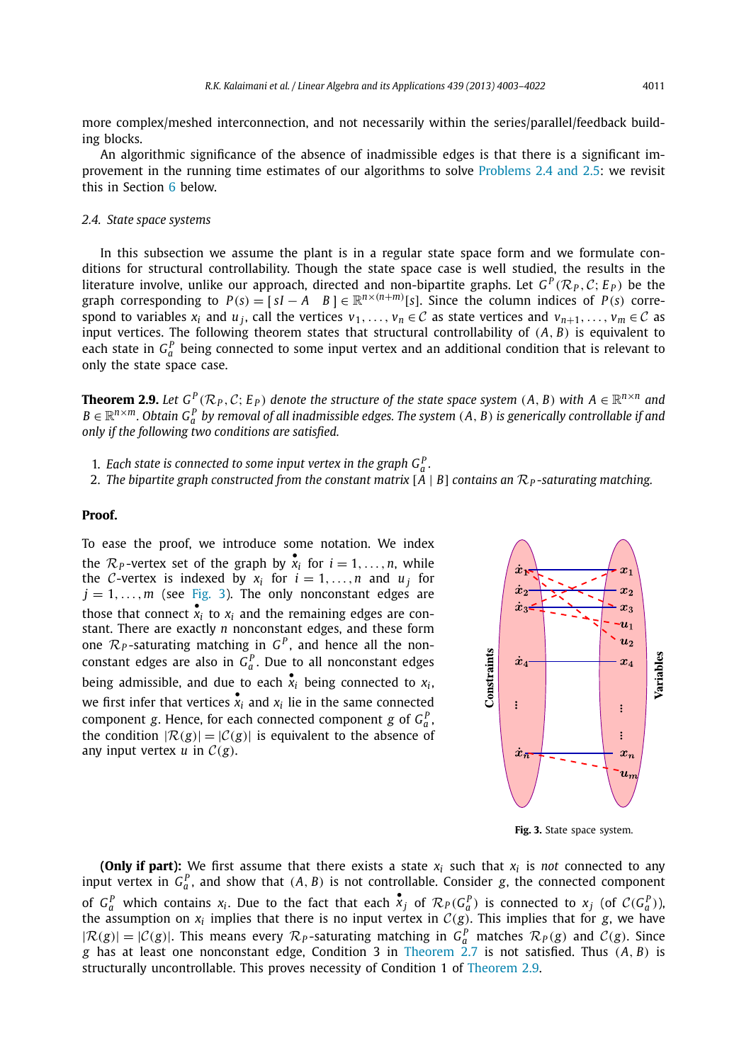more complex/meshed interconnection, and not necessarily within the series/parallel/feedback building blocks.

An algorithmic significance of the absence of inadmissible edges is that there is a significant improvement in the running time estimates of our algorithms to solve Problems 2.4 and 2.5: we revisit this in Section 6 below.

#### *2.4. State space systems*

In this subsection we assume the plant is in a regular state space form and we formulate conditions for structural controllability. Though the state space case is well studied, the results in the literature involve, unlike our approach, directed and non-bipartite graphs. Let  $G^P(\mathcal{R}_P, \mathcal{C}; E_P)$  be the graph corresponding to  $P(s) = [sI - A \ B] \in \mathbb{R}^{n \times (n+m)}[s]$ . Since the column indices of  $P(s)$  correspond to variables  $x_i$  and  $u_j$ , call the vertices  $v_1, \ldots, v_n \in \mathcal{C}$  as state vertices and  $v_{n+1}, \ldots, v_m \in \mathcal{C}$  as input vertices. The following theorem states that structural controllability of (*A*, *B*) is equivalent to each state in  $G_a^P$  being connected to some input vertex and an additional condition that is relevant to only the state space case.

**Theorem 2.9.** Let  $G^P(\mathcal{R}_P, \mathcal{C}; E_P)$  denote the structure of the state space system  $(A, B)$  with  $A \in \mathbb{R}^{n \times n}$  and  $B \in \mathbb{R}^{n \times m}$ . Obtain  $G_a^P$  by removal of all inadmissible edges. The system  $(A, B)$  is generically controllable if and *only if the following two conditions are satisfied.*

- 1. Each state is connected to some input vertex in the graph  $G_a^P$ .
- 2. *The bipartite graph constructed from the constant matrix*  $[A \mid B]$  *contains an*  $\mathcal{R}_P$ -saturating matching.

#### **Proof.**

To ease the proof, we introduce some notation. We index the  $\mathcal{R}_P$ -vertex set of the graph by  $\mathbf{x}_i$  for  $i = 1, \ldots, n$ , while the C-vertex is indexed by  $x_i$  for  $i = 1, ..., n$  and  $u_j$  for  $j = 1, \ldots, m$  (see Fig. 3). The only nonconstant edges are those that connect  $\mathbf{x}_i$  to  $\mathbf{x}_i$  and the remaining edges are constant. There are exactly *n* nonconstant edges, and these form one  $\mathcal{R}_P$ -saturating matching in  $G^P$ , and hence all the nonconstant edges are also in  $G_a^P$ . Due to all nonconstant edges being admissible, and due to each  $\mathbf{x}_i$  being connected to  $\mathbf{x}_i$ , we first infer that vertices  $\mathbf{x}_i$  and  $\mathbf{x}_i$  lie in the same connected component *g*. Hence, for each connected component *g* of  $G_a^P$ , the condition  $|\mathcal{R}(g)|=|\mathcal{C}(g)|$  is equivalent to the absence of any input vertex  $u$  in  $C(g)$ .



**Fig. 3.** State space system.

**(Only if part):** We first assume that there exists a state *x<sup>i</sup>* such that *x<sup>i</sup>* is *not* connected to any input vertex in  $G_a^P$ , and show that  $(A, B)$  is not controllable. Consider *g*, the connected component of  $G_a^P$  which contains  $x_i$ . Due to the fact that each  $x_j$  of  $\mathcal{R}_P(G_a^P)$  is connected to  $x_j$  (of  $\mathcal{C}(G_a^P)$ ), the assumption on  $x_i$  implies that there is no input vertex in  $C(g)$ . This implies that for *g*, we have  $|R(g)| = |C(g)|$ . This means every  $\mathcal{R}_P$ -saturating matching in  $G_q^P$  matches  $\mathcal{R}_P(g)$  and  $C(g)$ . Since *g* has at least one nonconstant edge, Condition 3 in Theorem 2.7 is not satisfied. Thus (*A*, *B*) is structurally uncontrollable. This proves necessity of Condition 1 of Theorem 2.9.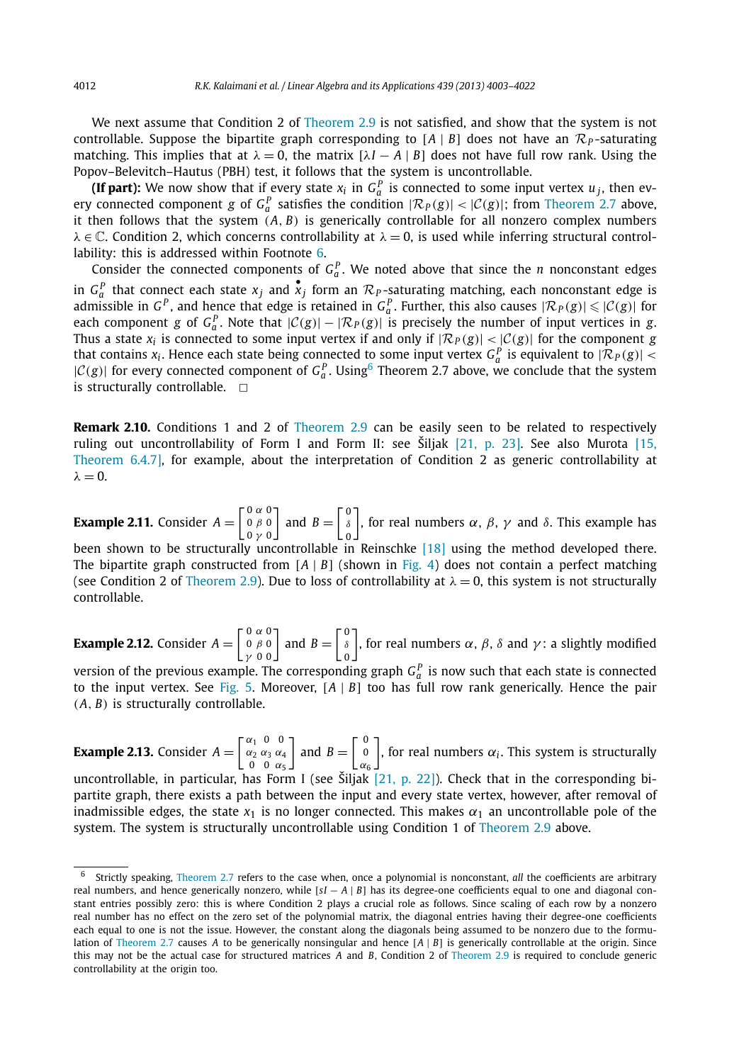We next assume that Condition 2 of Theorem 2.9 is not satisfied, and show that the system is not controllable. Suppose the bipartite graph corresponding to  $[A \mid B]$  does not have an  $\mathcal{R}_P$ -saturating matching. This implies that at  $\lambda = 0$ , the matrix  $[\lambda I - A | B]$  does not have full row rank. Using the Popov–Belevitch–Hautus (PBH) test, it follows that the system is uncontrollable.

**(If part):** We now show that if every state  $x_i$  in  $G_a^P$  is connected to some input vertex  $u_j$ , then every connected component *g* of  $G_a^P$  satisfies the condition  $|\mathcal{R}_P(g)| < |\mathcal{C}(g)|$ ; from Theorem 2.7 above, it then follows that the system (*A*, *B*) is generically controllable for all nonzero complex numbers  $\lambda \in \mathbb{C}$ . Condition 2, which concerns controllability at  $\lambda = 0$ , is used while inferring structural controllability: this is addressed within Footnote 6.

Consider the connected components of  $G_a^P$ . We noted above that since the *n* nonconstant edges in  $G_a^P$  that connect each state  $x_j$  and  $\overline{x}_j$  form an  $\mathcal{R}_P$ -saturating matching, each nonconstant edge is admissible in  $G^P$ , and hence that edge is retained in  $G_q^P$ . Further, this also causes  $|\mathcal{R}_P(g)| \leq |\mathcal{C}(g)|$  for each component *g* of  $G_a^P$ . Note that  $|C(g)| - |\mathcal{R}_P(g)|$  is precisely the number of input vertices in *g*. Thus a state  $x_i$  is connected to some input vertex if and only if  $|\mathcal{R}_P(g)| < |\mathcal{C}(g)|$  for the component *g* that contains  $x_i$ . Hence each state being connected to some input vertex  $G_a^P$  is equivalent to  $|\mathcal{R}_P(g)|$  <  $|C(g)|$  for every connected component of  $G_a^P$ . Using<sup>6</sup> Theorem 2.7 above, we conclude that the system is structurally controllable.  $\Box$ 

**Remark 2.10.** Conditions 1 and 2 of Theorem 2.9 can be easily seen to be related to respectively ruling out uncontrollability of Form I and Form II: see Šiljak [21, p. 23]. See also Murota [15, Theorem 6.4.7], for example, about the interpretation of Condition 2 as generic controllability at  $\lambda = 0.$ 

**Example 2.11.** Consider *<sup>A</sup>* =  $\left[ \begin{smallmatrix} 0 & \alpha & 0 \\[1mm] 0 & \beta & 0 \\[1mm] 0 & \gamma & 0 \end{smallmatrix} \right]$ and  $B = \begin{bmatrix} 0 \\ \delta \\ 0 \end{bmatrix}$ δ 0 ), for real numbers  $\alpha$ ,  $\beta$ ,  $\gamma$  and  $\delta$ . This example has been shown to be structurally uncontrollable in Reinschke [18] using the method developed there. The bipartite graph constructed from  $[A \mid B]$  (shown in Fig. 4) does not contain a perfect matching (see Condition 2 of Theorem 2.9). Due to loss of controllability at  $\lambda = 0$ , this system is not structurally controllable.

**Example 2.12.** Consider *<sup>A</sup>* =  $\begin{bmatrix} 0 & \alpha & 0 \\ 0 & \beta & 0 \\ \gamma & 0 & 0 \end{bmatrix}$  and  $B = \begin{bmatrix} 0 \\ \delta \\ 0 \end{bmatrix}$ δ 0 ), for real numbers  $\alpha$ ,  $\beta$ ,  $\delta$  and  $\gamma$ : a slightly modified

version of the previous example. The corresponding graph  $G_a^P$  is now such that each state is connected to the input vertex. See Fig. 5. Moreover, [*<sup>A</sup>* | *<sup>B</sup>*] too has full row rank generically. Hence the pair (*A*, *B*) is structurally controllable.

**Example 2.13.** Consider  $A = \begin{bmatrix} \alpha_1 & 0 & 0 \\ \alpha_2 & \alpha_3 & \alpha_4 \\ 0 & 0 & \alpha_5 \end{bmatrix}$  $0 \alpha_5$ and  $B = \begin{bmatrix} 0 \\ 0 \\ \alpha_6 \end{bmatrix}$  $\big]$ , for real numbers  $\alpha_i$ . This system is structurally

uncontrollable, in particular, has Form I (see Šiljak  $[21, p. 22]$ ). Check that in the corresponding bipartite graph, there exists a path between the input and every state vertex, however, after removal of inadmissible edges, the state  $x_1$  is no longer connected. This makes  $\alpha_1$  an uncontrollable pole of the system. The system is structurally uncontrollable using Condition 1 of Theorem 2.9 above.

<sup>6</sup> Strictly speaking, Theorem 2.7 refers to the case when, once a polynomial is nonconstant, *all* the coefficients are arbitrary real numbers, and hence generically nonzero, while [*s I* − *<sup>A</sup>* | *<sup>B</sup>*] has its degree-one coefficients equal to one and diagonal constant entries possibly zero: this is where Condition 2 plays a crucial role as follows. Since scaling of each row by a nonzero real number has no effect on the zero set of the polynomial matrix, the diagonal entries having their degree-one coefficients each equal to one is not the issue. However, the constant along the diagonals being assumed to be nonzero due to the formulation of Theorem 2.7 causes *<sup>A</sup>* to be generically nonsingular and hence [*<sup>A</sup>* | *<sup>B</sup>*] is generically controllable at the origin. Since this may not be the actual case for structured matrices *A* and *B*, Condition 2 of Theorem 2.9 is required to conclude generic controllability at the origin too.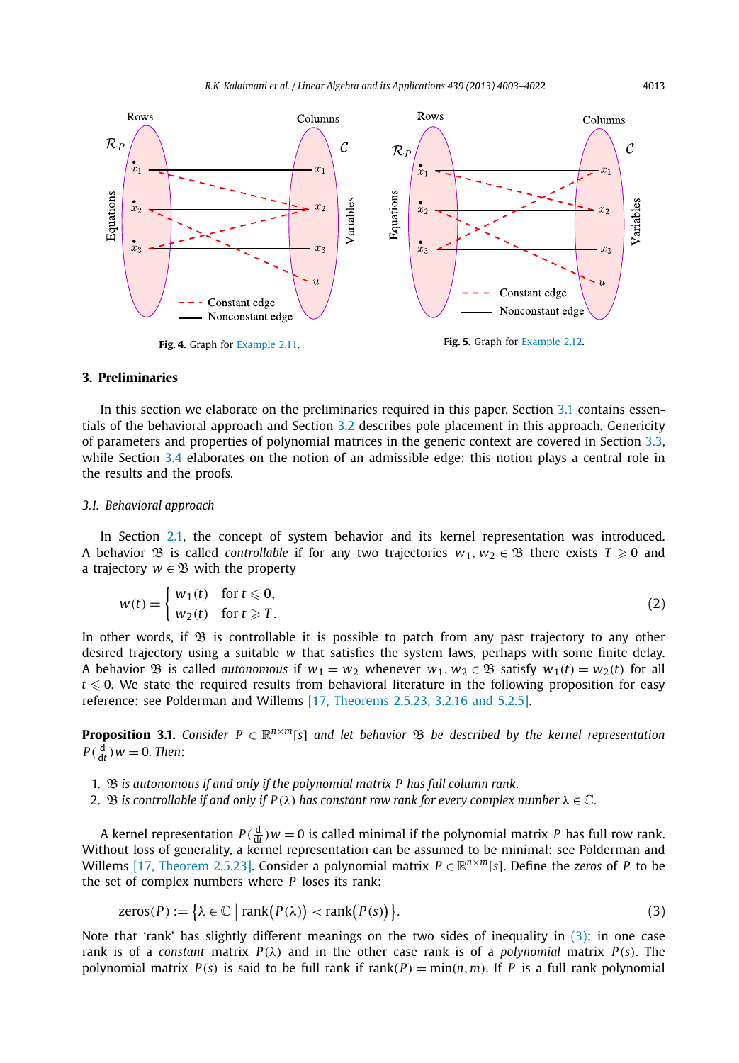

### **3. Preliminaries**

In this section we elaborate on the preliminaries required in this paper. Section 3.1 contains essentials of the behavioral approach and Section 3.2 describes pole placement in this approach. Genericity of parameters and properties of polynomial matrices in the generic context are covered in Section 3.3, while Section 3.4 elaborates on the notion of an admissible edge: this notion plays a central role in the results and the proofs.

#### *3.1. Behavioral approach*

In Section 2.1, the concept of system behavior and its kernel representation was introduced. A behavior  $\mathfrak{B}$  is called *controllable* if for any two trajectories  $w_1, w_2 \in \mathfrak{B}$  there exists  $T \geq 0$  and a trajectory  $w \in \mathfrak{B}$  with the property

$$
w(t) = \begin{cases} w_1(t) & \text{for } t \leq 0, \\ w_2(t) & \text{for } t \geq T. \end{cases}
$$
 (2)

In other words, if  $\mathfrak B$  is controllable it is possible to patch from any past trajectory to any other desired trajectory using a suitable *w* that satisfies the system laws, perhaps with some finite delay. A behavior  $\mathfrak{B}$  is called *autonomous* if  $w_1 = w_2$  whenever  $w_1, w_2 \in \mathfrak{B}$  satisfy  $w_1(t) = w_2(t)$  for all  $t \le 0$ . We state the required results from behavioral literature in the following proposition for easy reference: see Polderman and Willems [17, Theorems 2.5.23, 3.2.16 and 5.2.5].

**Proposition 3.1.** *Consider P* ∈  $\mathbb{R}^{n \times m}[s]$  *and let behavior*  $\mathfrak{B}$  *be described by the kernel representation*  $P(\frac{d}{dt})w = 0$ . Then:

- 1. B *is autonomous if and only if the polynomial matrix P has full column rank.*
- 2. B *is controllable if and only if*  $P(\lambda)$  *has constant row rank for every complex number*  $\lambda \in \mathbb{C}$ *.*

A kernel representation  $P(\frac{d}{dt})w = 0$  is called minimal if the polynomial matrix *P* has full row rank. Without loss of generality, a kernel representation can be assumed to be minimal: see Polderman and Willems [17, Theorem 2.5.23]. Consider a polynomial matrix  $P \in \mathbb{R}^{n \times m}[s]$ . Define the *zeros* of *P* to be the set of complex numbers where *P* loses its rank:

$$
zeros(P) := \{ \lambda \in \mathbb{C} \mid \text{rank}(P(\lambda)) < \text{rank}(P(s)) \}. \tag{3}
$$

Note that 'rank' has slightly different meanings on the two sides of inequality in (3): in one case rank is of a *constant* matrix  $P(\lambda)$  and in the other case rank is of a *polynomial* matrix  $P(s)$ . The polynomial matrix *P*(*s*) is said to be full rank if rank(*P*) = min(*n*,*m*). If *P* is a full rank polynomial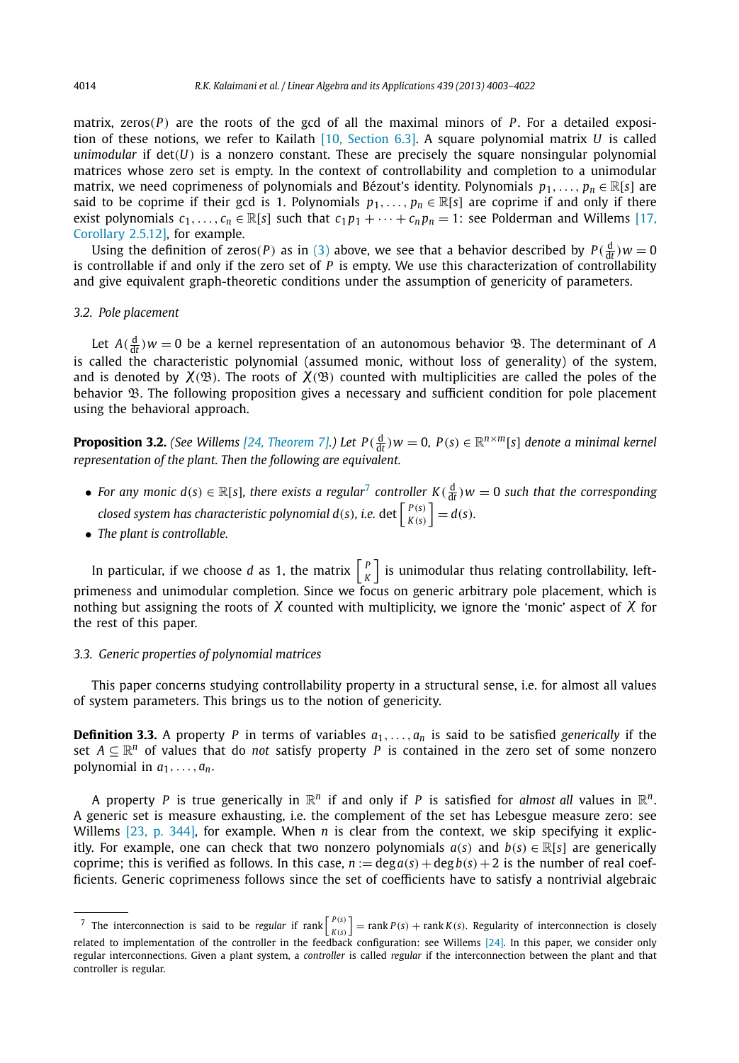matrix, zeros( $P$ ) are the roots of the gcd of all the maximal minors of  $P$ . For a detailed exposition of these notions, we refer to Kailath [10, Section 6.3]. A square polynomial matrix *U* is called *unimodular* if det(*U*) is a nonzero constant. These are precisely the square nonsingular polynomial matrices whose zero set is empty. In the context of controllability and completion to a unimodular matrix, we need coprimeness of polynomials and Bézout's identity. Polynomials  $p_1, \ldots, p_n \in \mathbb{R}[s]$  are said to be coprime if their gcd is 1. Polynomials  $p_1, \ldots, p_n \in \mathbb{R}[s]$  are coprime if and only if there exist polynomials  $c_1, \ldots, c_n \in \mathbb{R}[s]$  such that  $c_1 p_1 + \cdots + c_n p_n = 1$ : see Polderman and Willems [17, Corollary 2.5.12], for example.

Using the definition of zeros(*P*) as in (3) above, we see that a behavior described by  $P(\frac{d}{dt})w = 0$ is controllable if and only if the zero set of *P* is empty. We use this characterization of controllability and give equivalent graph-theoretic conditions under the assumption of genericity of parameters.

#### *3.2. Pole placement*

Let  $A(\frac{d}{dt})w = 0$  be a kernel representation of an autonomous behavior  $\mathcal{B}$ . The determinant of *A* is called the characteristic polynomial (assumed monic, without loss of generality) of the system, and is denoted by  $\chi(\mathfrak{B})$ . The roots of  $\chi(\mathfrak{B})$  counted with multiplicities are called the poles of the behavior  $\mathfrak B$ . The following proposition gives a necessary and sufficient condition for pole placement using the behavioral approach.

**Proposition 3.2.** *(See Willems [24, Theorem 7].) Let*  $P(\frac{d}{dt})w = 0$ ,  $P(s) \in \mathbb{R}^{n \times m}[s]$  denote a minimal kernel *representation of the plant. Then the following are equivalent.*

- For any monic  $d(s) \in \mathbb{R}[s]$ , there exists a regular<sup>7</sup> controller  $K(\frac{d}{dt})w = 0$  such that the corresponding *closed system has characteristic polynomial*  $d(s)$ *, i.e.* det  $\left[ \begin{array}{cc} P(s) \\ K(s) \end{array} \right]$  $\begin{bmatrix} P(s) \\ K(s) \end{bmatrix} = d(s).$
- *The plant is controllable.*

In particular, if we choose *d* as 1, the matrix  $\begin{bmatrix} P & P \end{bmatrix}$  $\binom{P}{K}$  is unimodular thus relating controllability, leftprimeness and unimodular completion. Since we focus on generic arbitrary pole placement, which is nothing but assigning the roots of  $\chi$  counted with multiplicity, we ignore the 'monic' aspect of  $\chi$  for the rest of this paper.

#### *3.3. Generic properties of polynomial matrices*

This paper concerns studying controllability property in a structural sense, i.e. for almost all values of system parameters. This brings us to the notion of genericity.

**Definition 3.3.** A property *P* in terms of variables  $a_1, \ldots, a_n$  is said to be satisfied *generically* if the set  $A \subseteq \mathbb{R}^n$  of values that do *not* satisfy property *P* is contained in the zero set of some nonzero polynomial in  $a_1, \ldots, a_n$ .

A property P is true generically in  $\mathbb{R}^n$  if and only if P is satisfied for *almost all* values in  $\mathbb{R}^n$ . A generic set is measure exhausting, i.e. the complement of the set has Lebesgue measure zero: see Willems [23, p. 344], for example. When *n* is clear from the context, we skip specifying it explicitly. For example, one can check that two nonzero polynomials  $a(s)$  and  $b(s) \in \mathbb{R}[s]$  are generically coprime; this is verified as follows. In this case,  $n := \deg a(s) + \deg b(s) + 2$  is the number of real coefficients. Generic coprimeness follows since the set of coefficients have to satisfy a nontrivial algebraic

<sup>&</sup>lt;sup>7</sup> The interconnection is said to be *regular* if rank  $\left[\begin{array}{c} P(s) \\ R(s) \end{array}\right]$  $\left[\begin{matrix}P(s)\\ K(s)\end{matrix}\right]= \text{rank } P(s) + \text{rank } K(s)$ . Regularity of interconnection is closely related to implementation of the controller in the feedback configuration: see Willems [24]. In this paper, we consider only regular interconnections. Given a plant system, a *controller* is called *regular* if the interconnection between the plant and that controller is regular.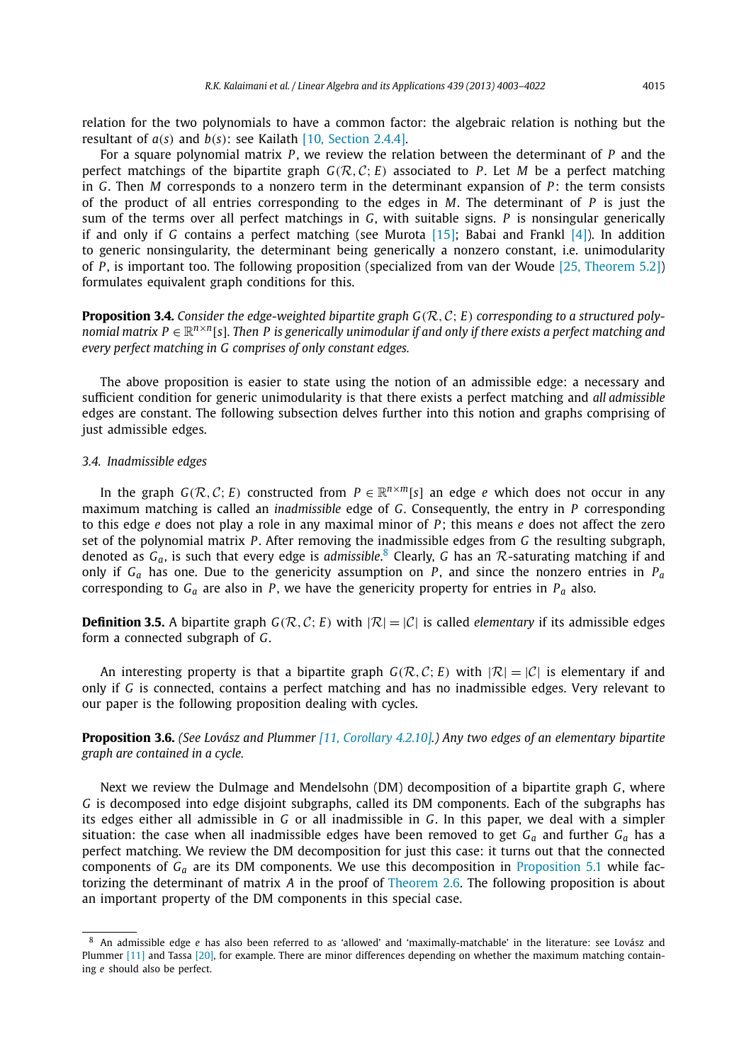relation for the two polynomials to have a common factor: the algebraic relation is nothing but the resultant of *a*(*s*) and *b*(*s*): see Kailath [10, Section 2.4.4].

For a square polynomial matrix *P* , we review the relation between the determinant of *P* and the perfect matchings of the bipartite graph  $G(R, C; E)$  associated to P. Let M be a perfect matching in *G*. Then *M* corresponds to a nonzero term in the determinant expansion of *P* : the term consists of the product of all entries corresponding to the edges in *M*. The determinant of *P* is just the sum of the terms over all perfect matchings in *G*, with suitable signs. *P* is nonsingular generically if and only if *G* contains a perfect matching (see Murota [15]; Babai and Frankl [4]). In addition to generic nonsingularity, the determinant being generically a nonzero constant, i.e. unimodularity of *P* , is important too. The following proposition (specialized from van der Woude [25, Theorem 5.2]) formulates equivalent graph conditions for this.

**Proposition 3.4.** *Consider the edge-weighted bipartite graph G*(R, <sup>C</sup>; *<sup>E</sup>*) *corresponding to a structured polynomial matrix P* ∈  $\mathbb{R}^{n \times n}$ [s]. Then *P* is generically unimodular if and only if there exists a perfect matching and *every perfect matching in G comprises of only constant edges.*

The above proposition is easier to state using the notion of an admissible edge: a necessary and sufficient condition for generic unimodularity is that there exists a perfect matching and *all admissible* edges are constant. The following subsection delves further into this notion and graphs comprising of just admissible edges.

#### *3.4. Inadmissible edges*

In the graph  $G(\mathcal{R}, \mathcal{C}; E)$  constructed from  $P \in \mathbb{R}^{n \times m}[s]$  an edge *e* which does not occur in any maximum matching is called an *inadmissible* edge of *G*. Consequently, the entry in *P* corresponding to this edge *e* does not play a role in any maximal minor of *P* ; this means *e* does not affect the zero set of the polynomial matrix *P* . After removing the inadmissible edges from *G* the resulting subgraph, denoted as *Ga*, is such that every edge is *admissible*. <sup>8</sup> Clearly, *G* has an R-saturating matching if and only if  $G_a$  has one. Due to the genericity assumption on *P*, and since the nonzero entries in  $P_a$ corresponding to  $G_a$  are also in *P*, we have the genericity property for entries in  $P_a$  also.

**Definition 3.5.** A bipartite graph  $G(\mathcal{R}, \mathcal{C}; E)$  with  $|\mathcal{R}| = |\mathcal{C}|$  is called *elementary* if its admissible edges form a connected subgraph of *G*.

An interesting property is that a bipartite graph  $G(\mathcal{R}, \mathcal{C}; E)$  with  $|\mathcal{R}| = |\mathcal{C}|$  is elementary if and only if *G* is connected, contains a perfect matching and has no inadmissible edges. Very relevant to our paper is the following proposition dealing with cycles.

**Proposition 3.6.** *(See Lovász and Plummer [11, Corollary 4.2.10].) Any two edges of an elementary bipartite graph are contained in a cycle.*

Next we review the Dulmage and Mendelsohn (DM) decomposition of a bipartite graph *G*, where *G* is decomposed into edge disjoint subgraphs, called its DM components. Each of the subgraphs has its edges either all admissible in *G* or all inadmissible in *G*. In this paper, we deal with a simpler situation: the case when all inadmissible edges have been removed to get *G<sup>a</sup>* and further *G<sup>a</sup>* has a perfect matching. We review the DM decomposition for just this case: it turns out that the connected components of *G<sup>a</sup>* are its DM components. We use this decomposition in Proposition 5.1 while factorizing the determinant of matrix *A* in the proof of Theorem 2.6. The following proposition is about an important property of the DM components in this special case.

<sup>8</sup> An admissible edge *e* has also been referred to as 'allowed' and 'maximally-matchable' in the literature: see Lovász and Plummer [11] and Tassa [20], for example. There are minor differences depending on whether the maximum matching containing *e* should also be perfect.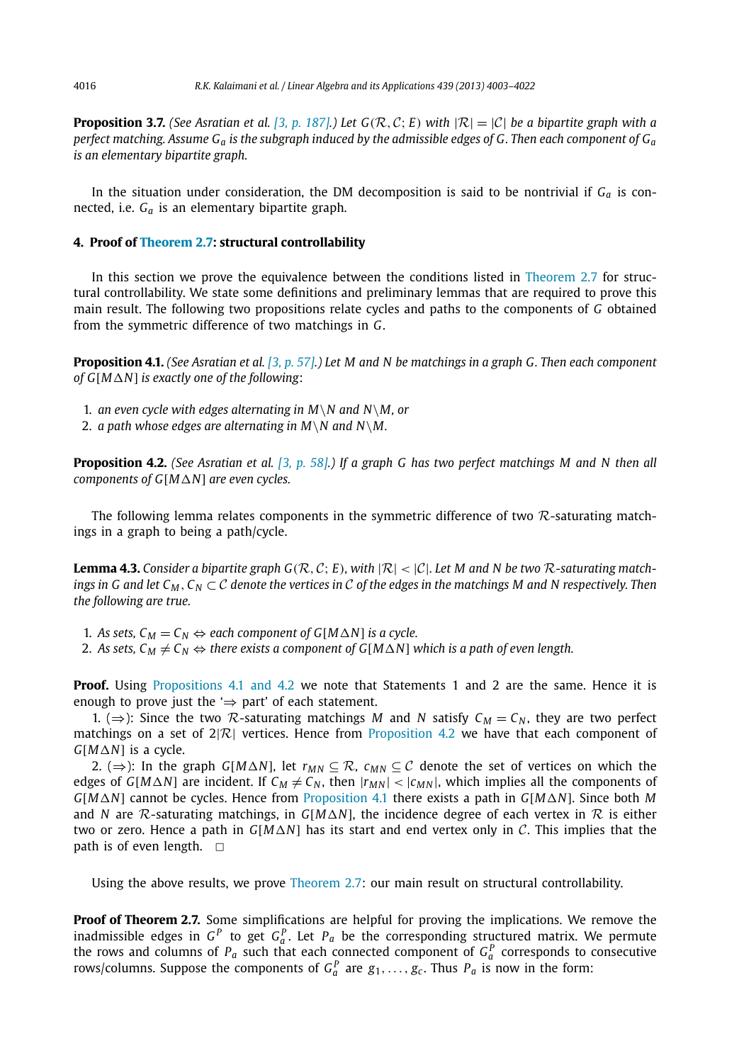**Proposition 3.7.** *(See Asratian et al.* [3, p. 187].) Let  $G(R, C; E)$  with  $|R| = |C|$  be a bipartite graph with a *perfect matching. Assume G<sup>a</sup> is the subgraph induced by the admissible edges of G. Then each component of G<sup>a</sup> is an elementary bipartite graph.*

In the situation under consideration, the DM decomposition is said to be nontrivial if  $G<sub>a</sub>$  is connected, i.e. *G<sup>a</sup>* is an elementary bipartite graph.

#### **4. Proof of Theorem 2.7: structural controllability**

In this section we prove the equivalence between the conditions listed in Theorem 2.7 for structural controllability. We state some definitions and preliminary lemmas that are required to prove this main result. The following two propositions relate cycles and paths to the components of *G* obtained from the symmetric difference of two matchings in *G*.

**Proposition 4.1.** *(See Asratian et al. [3, p. 57].) Let M and N be matchings in a graph G. Then each component of G*[ $M\Delta N$ ] *is exactly one of the following*:

1. *an even cycle with edges alternating in M*\*N and N*\*M, or*

2. *a* path whose edges are alternating in  $M\backslash N$  and  $N\backslash M$ .

**Proposition 4.2.** *(See Asratian et al. [3, p. 58].) If a graph G has two perfect matchings M and N then all components of G[M* $\Delta$ *N] are even cycles.* 

The following lemma relates components in the symmetric difference of two  $\mathcal R$ -saturating matchings in a graph to being a path/cycle.

**Lemma 4.3.** Consider a bipartite graph  $G(\mathcal{R}, C; E)$ , with  $|\mathcal{R}| < |\mathcal{C}|$ . Let M and N be two  $\mathcal{R}$ -saturating match*ings in G and let*  $C_M$ ,  $C_N \subset C$  *denote the vertices in* C *of the edges in the matchings M and N respectively. Then the following are true.*

1. As sets,  $C_M = C_N \Leftrightarrow$  each component of  $G[M\Delta N]$  is a cycle.

2. As sets,  $C_M \neq C_N \Leftrightarrow$  there exists a component of  $G[M\Delta N]$  which is a path of even length.

**Proof.** Using Propositions 4.1 and 4.2 we note that Statements 1 and 2 are the same. Hence it is enough to prove just the  $\Rightarrow$  part' of each statement.

1. (⇒): Since the two R-saturating matchings *M* and *N* satisfy  $C_M = C_N$ , they are two perfect matchings on a set of  $2|\mathcal{R}|$  vertices. Hence from Proposition 4.2 we have that each component of *<sup>G</sup>*[*MN*] is a cycle.

2. (⇒): In the graph *G*[*M*∆*N*], let  $r_{MN} \subseteq \mathcal{R}$ ,  $c_{MN} \subseteq \mathcal{C}$  denote the set of vertices on which the edges of *G*[*M* $\triangle$ *N*] are incident. If  $C_M \neq C_N$ , then  $|r_{MN}| < |c_{MN}|$ , which implies all the components of *<sup>G</sup>*[*MN*] cannot be cycles. Hence from Proposition 4.1 there exists a path in *<sup>G</sup>*[*MN*]. Since both *<sup>M</sup>* and *N* are  $\mathcal{R}$ -saturating matchings, in *G*[*M* $\Delta$ *N*], the incidence degree of each vertex in  $\mathcal{R}$  is either two or zero. Hence a path in  $G[M\Delta N]$  has its start and end vertex only in C. This implies that the path is of even length.  $\square$ 

Using the above results, we prove Theorem 2.7: our main result on structural controllability.

**Proof of Theorem 2.7.** Some simplifications are helpful for proving the implications. We remove the inadmissible edges in  $G^P$  to get  $G^P_a$ . Let  $P_a$  be the corresponding structured matrix. We permute the rows and columns of  $P_a$  such that each connected component of  $G_a^P$  corresponds to consecutive rows/columns. Suppose the components of  $G_a^P$  are  $g_1, \ldots, g_c$ . Thus  $P_a$  is now in the form: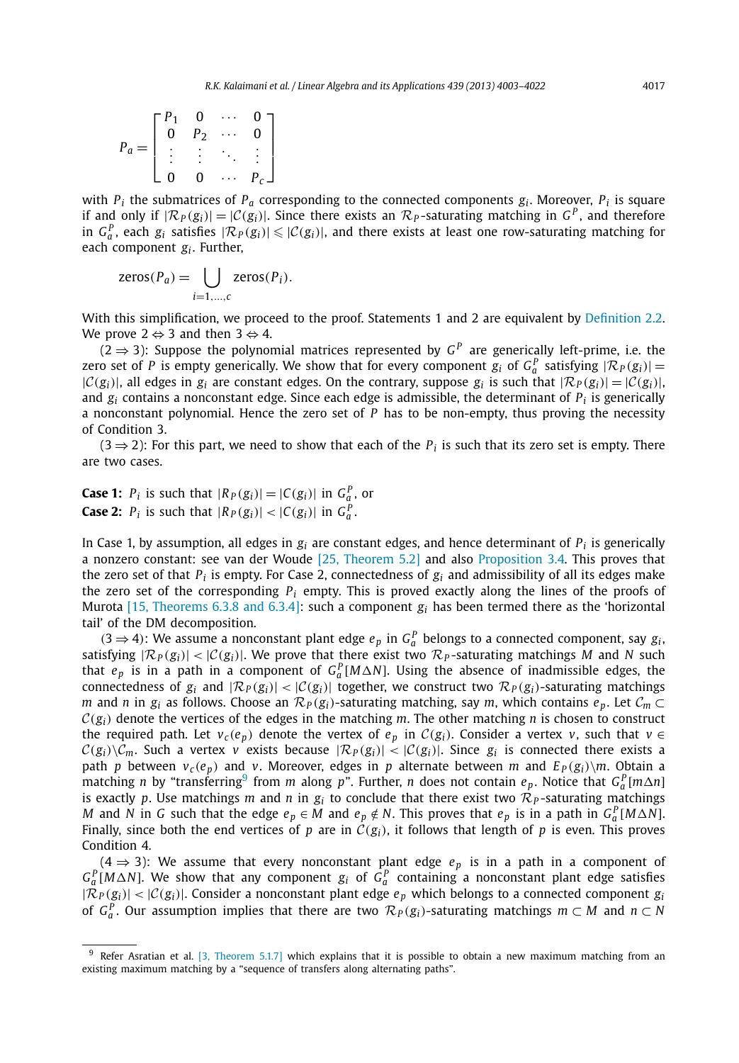$$
P_a = \begin{bmatrix} P_1 & 0 & \cdots & 0 \\ 0 & P_2 & \cdots & 0 \\ \vdots & \vdots & \ddots & \vdots \\ 0 & 0 & \cdots & P_c \end{bmatrix}
$$

with  $P_i$  the submatrices of  $P_a$  corresponding to the connected components  $g_i$ . Moreover,  $P_i$  is square if and only if  $|\mathcal{R}_P(g_i)| = |\mathcal{C}(g_i)|$ . Since there exists an  $\mathcal{R}_P$ -saturating matching in  $G^P$ , and therefore in  $G_a^P$ , each  $g_i$  satisfies  $|\mathcal{R}_P(g_i)| \leq |\mathcal{C}(g_i)|$ , and there exists at least one row-saturating matching for each component *g<sup>i</sup>* . Further,

$$
zeros(P_a) = \bigcup_{i=1,\dots,c} zeros(P_i).
$$

With this simplification, we proceed to the proof. Statements 1 and 2 are equivalent by Definition 2.2. We prove  $2 \Leftrightarrow 3$  and then  $3 \Leftrightarrow 4$ .

(2 ⇒ 3): Suppose the polynomial matrices represented by  $G<sup>P</sup>$  are generically left-prime, i.e. the zero set of *P* is empty generically. We show that for every component  $g_i$  of  $G_a^P$  satisfying  $|\mathcal{R}_P(g_i)| =$  $|C(g_i)|$ , all edges in  $g_i$  are constant edges. On the contrary, suppose  $g_i$  is such that  $|\mathcal{R}_P(g_i)| = |C(g_i)|$ , and *g<sup>i</sup>* contains a nonconstant edge. Since each edge is admissible, the determinant of *P<sup>i</sup>* is generically a nonconstant polynomial. Hence the zero set of *P* has to be non-empty, thus proving the necessity of Condition 3.

 $(3 \Rightarrow 2)$ : For this part, we need to show that each of the  $P_i$  is such that its zero set is empty. There are two cases.

**Case 1:**  $P_i$  is such that  $|R_P(g_i)| = |C(g_i)|$  in  $G_q^P$ , or **Case 2:**  $P_i$  is such that  $|R_P(g_i)| < |C(g_i)|$  in  $G_a^P$ .

In Case 1, by assumption, all edges in *g<sup>i</sup>* are constant edges, and hence determinant of *P<sup>i</sup>* is generically a nonzero constant: see van der Woude [25, Theorem 5.2] and also Proposition 3.4. This proves that the zero set of that  $P_i$  is empty. For Case 2, connectedness of  $g_i$  and admissibility of all its edges make the zero set of the corresponding  $P_i$  empty. This is proved exactly along the lines of the proofs of Murota [15, Theorems 6.3.8 and 6.3.4]: such a component *g<sup>i</sup>* has been termed there as the 'horizontal tail' of the DM decomposition.

(3 ⇒ 4): We assume a nonconstant plant edge  $e_p$  in  $G_a^p$  belongs to a connected component, say  $g_i$ , satisfying  $|\mathcal{R}_P(g_i)| < |\mathcal{C}(g_i)|$ . We prove that there exist two  $\mathcal{R}_P$ -saturating matchings *M* and *N* such that  $e_p$  is in a path in a component of  $G_a^P[M\Delta N]$ . Using the absence of inadmissible edges, the connectedness of  $g_i$  and  $|\mathcal{R}_P(g_i)| < |\mathcal{C}(g_i)|$  together, we construct two  $\mathcal{R}_P(g_i)$ -saturating matchings *m* and *n* in  $g_i$  as follows. Choose an  $\mathcal{R}_P(g_i)$ -saturating matching, say *m*, which contains  $e_p$ . Let  $\mathcal{C}_m \subset$  $C(g_i)$  denote the vertices of the edges in the matching *m*. The other matching *n* is chosen to construct the required path. Let  $v_c(e_p)$  denote the vertex of  $e_p$  in  $C(g_i)$ . Consider a vertex *v*, such that  $v \in$  $\mathcal{C}(g_i)\setminus\mathcal{C}_m$ . Such a vertex *v* exists because  $|\mathcal{R}_P(g_i)| < |\mathcal{C}(g_i)|$ . Since  $g_i$  is connected there exists a path *p* between  $v_c(e_p)$  and *v*. Moreover, edges in *p* alternate between *m* and  $E_P(g_i)\$ m. Obtain a  $m$  along *n* by "transferring<sup>9</sup> from *m* along *p*". Further, *n* does not contain  $e_p$ . Notice that  $G_a^P[m\Delta n]$ is exactly p. Use matchings m and n in  $g_i$  to conclude that there exist two  $\mathcal{R}_P$ -saturating matchings *M* and *N* in *G* such that the edge  $e_p \in M$  and  $e_p \notin N$ . This proves that  $e_p$  is in a path in  $G_q^P[M\Delta N]$ . Finally, since both the end vertices of *p* are in  $\hat{C}(g_i)$ , it follows that length of *p* is even. This proves Condition 4.

 $(4 \Rightarrow 3)$ : We assume that every nonconstant plant edge  $e<sub>p</sub>$  is in a path in a component of  $G_a^P$ [*M* $\triangle$ *N*]. We show that any component *g<sub>i</sub>* of  $G_a^P$  containing a nonconstant plant edge satisfies  $|\mathcal{R}_P(g_i)| < |\mathcal{C}(g_i)|$ . Consider a nonconstant plant edge  $e_p$  which belongs to a connected component  $g_i$ of  $G_a^P$ . Our assumption implies that there are two  $\mathcal{R}_P(g_i)$ -saturating matchings  $m \subset M$  and  $n \subset N$ 

<sup>9</sup> Refer Asratian et al. [3, Theorem 5.1.7] which explains that it is possible to obtain a new maximum matching from an existing maximum matching by a "sequence of transfers along alternating paths".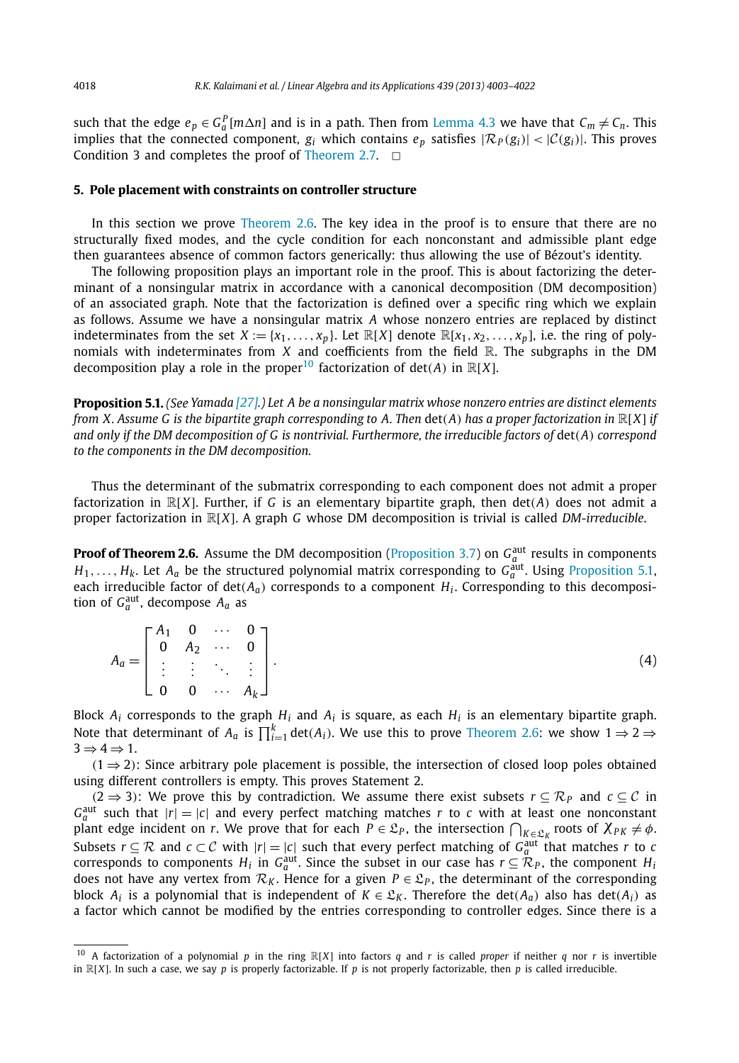such that the edge  $e_p \in G_a^P[m \Delta n]$  and is in a path. Then from Lemma 4.3 we have that  $C_m \neq C_n$ . This implies that the connected component,  $g_i$  which contains  $e_p$  satisfies  $|\mathcal{R}_P(g_i)| < |\mathcal{C}(g_i)|$ . This proves Condition 3 and completes the proof of Theorem 2.7.  $\Box$ 

#### **5. Pole placement with constraints on controller structure**

In this section we prove Theorem 2.6. The key idea in the proof is to ensure that there are no structurally fixed modes, and the cycle condition for each nonconstant and admissible plant edge then guarantees absence of common factors generically: thus allowing the use of Bézout's identity.

The following proposition plays an important role in the proof. This is about factorizing the determinant of a nonsingular matrix in accordance with a canonical decomposition (DM decomposition) of an associated graph. Note that the factorization is defined over a specific ring which we explain as follows. Assume we have a nonsingular matrix *A* whose nonzero entries are replaced by distinct indeterminates from the set  $X := \{x_1, \ldots, x_p\}$ . Let  $\mathbb{R}[X]$  denote  $\mathbb{R}[x_1, x_2, \ldots, x_p]$ , i.e. the ring of polynomials with indeterminates from *X* and coefficients from the field R. The subgraphs in the DM decomposition play a role in the proper<sup>10</sup> factorization of det(*A*) in  $\mathbb{R}[X]$ .

**Proposition 5.1.** *(See Yamada [27].) Let A be a nonsingular matrix whose nonzero entries are distinct elements from X. Assume G is the bipartite graph corresponding to A. Then* det(*A*) *has a proper factorization in* <sup>R</sup>[*X*] *if and only if the DM decomposition of G is nontrivial. Furthermore, the irreducible factors of* det(*A*) *correspond to the components in the DM decomposition.*

Thus the determinant of the submatrix corresponding to each component does not admit a proper factorization in  $\mathbb{R}[X]$ . Further, if G is an elementary bipartite graph, then det(*A*) does not admit a proper factorization in <sup>R</sup>[*X*]. A graph *<sup>G</sup>* whose DM decomposition is trivial is called *DM-irreducible*.

**Proof of Theorem 2.6.** Assume the DM decomposition (Proposition 3.7) on  $G_a^{\text{aut}}$  results in components  $H_1, \ldots, H_k$ . Let  $A_a$  be the structured polynomial matrix corresponding to  $G_a^{\text{aut}}$ . Using Proposition 5.1, each irreducible factor of det(*Aa*) corresponds to a component *H<sup>i</sup>* . Corresponding to this decomposition of  $G_a^{\text{aut}}$ , decompose  $A_a$  as

$$
A_a = \begin{bmatrix} A_1 & 0 & \cdots & 0 \\ 0 & A_2 & \cdots & 0 \\ \vdots & \vdots & \ddots & \vdots \\ 0 & 0 & \cdots & A_k \end{bmatrix} .
$$
 (4)

Block  $A_i$  corresponds to the graph  $H_i$  and  $A_i$  is square, as each  $H_i$  is an elementary bipartite graph. Note that determinant of  $A_a$  is  $\prod_{i=1}^k \det(A_i)$ . We use this to prove Theorem 2.6: we show  $1 \Rightarrow 2 \Rightarrow$  $3 \Rightarrow 4 \Rightarrow 1$ .

 $(1 \Rightarrow 2)$ : Since arbitrary pole placement is possible, the intersection of closed loop poles obtained using different controllers is empty. This proves Statement 2.

(2  $\Rightarrow$  3): We prove this by contradiction. We assume there exist subsets *r* ⊆  $\mathcal{R}_P$  and *c* ⊆ C in  $G_a^{\text{aut}}$  such that  $|r| = |c|$  and every perfect matching matches *r* to *c* with at least one nonconstant plant edge incident on *r*. We prove that for each  $P \in \mathcal{L}_P$ , the intersection  $\bigcap_{K \in \mathcal{L}_K}$  roots of  $\chi_{PK} \neq \emptyset$ . Subsets  $r \subseteq \mathcal{R}$  and  $c \subset \mathcal{C}$  with  $|r| = |c|$  such that every perfect matching of  $G_a^{\text{aut}}$  that matches *r* to *c* corresponds to components *H<sub>i</sub>* in *G*<sup>aut</sup>. Since the subset in our case has  $r \subseteq \mathcal{R}_P$ , the component *H<sub>i</sub>* does not have any vertex from  $\mathcal{R}_K$ . Hence for a given  $P \in \mathcal{L}_P$ , the determinant of the corresponding block  $A_i$  is a polynomial that is independent of  $K \in \mathfrak{L}_K$ . Therefore the det( $A_a$ ) also has det( $A_i$ ) as a factor which cannot be modified by the entries corresponding to controller edges. Since there is a

<sup>10</sup> A factorization of a polynomial *<sup>p</sup>* in the ring <sup>R</sup>[*X*] into factors *<sup>q</sup>* and *<sup>r</sup>* is called *proper* if neither *<sup>q</sup>* nor *<sup>r</sup>* is invertible in <sup>R</sup>[*X*]. In such a case, we say *<sup>p</sup>* is properly factorizable. If *<sup>p</sup>* is not properly factorizable, then *<sup>p</sup>* is called irreducible.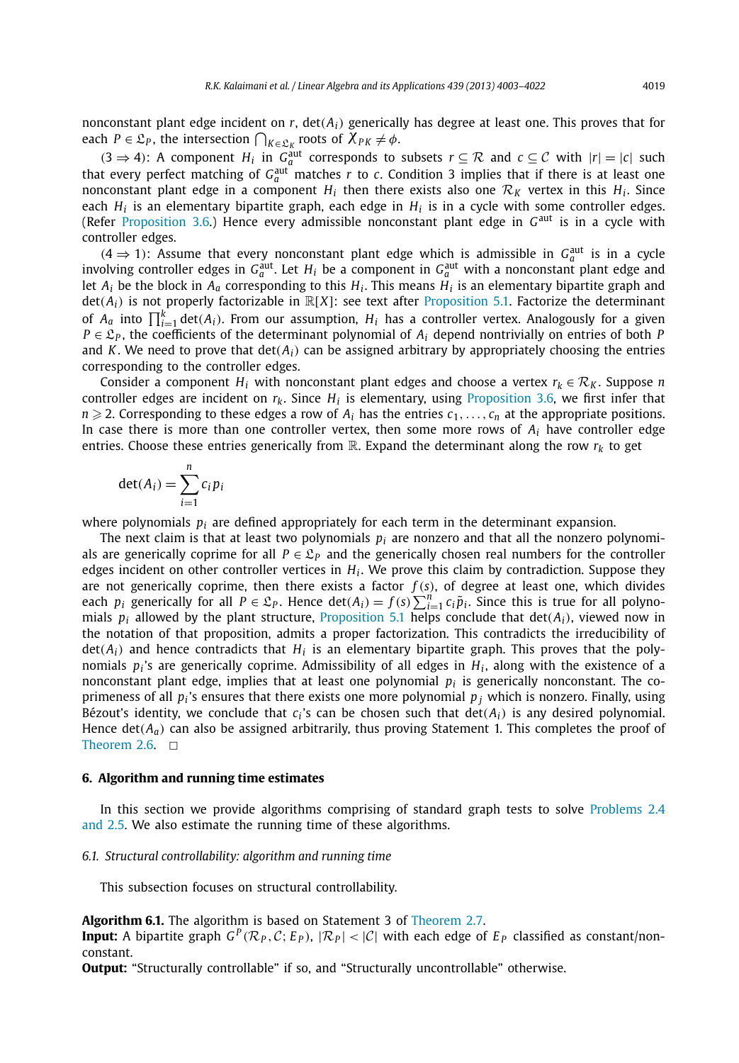nonconstant plant edge incident on  $r$ ,  $det(A_i)$  generically has degree at least one. This proves that for each  $P \in \mathfrak{L}_P$ , the intersection  $\bigcap_{K \in \mathfrak{L}_K}$  roots of  $\chi_{PK} \neq \phi$ .  $K \in \mathcal{L}_K$ 

 $(3 \Rightarrow 4)$ : A component  $H_i$  in  $G_a^{\text{aut}}$  corresponds to subsets  $r \subseteq \mathcal{R}$  and  $c \subseteq \mathcal{C}$  with  $|r| = |c|$  such that every perfect matching of  $G_a^{\text{aut}}$  matches r to c. Condition 3 implies that if there is at least one nonconstant plant edge in a component  $H_i$  then there exists also one  $\mathcal{R}_K$  vertex in this  $H_i$ . Since each  $H_i$  is an elementary bipartite graph, each edge in  $H_i$  is in a cycle with some controller edges. (Refer Proposition 3.6.) Hence every admissible nonconstant plant edge in G<sup>aut</sup> is in a cycle with controller edges.

 $(4 \Rightarrow 1)$ : Assume that every nonconstant plant edge which is admissible in  $G_a^{\text{aut}}$  is in a cycle involving controller edges in  $G_a^{\text{aut}}$ . Let  $H_i$  be a component in  $G_a^{\text{aut}}$  with a nonconstant plant edge and let  $A_i$  be the block in  $A_a$  corresponding to this  $H_i$ . This means  $H_i$  is an elementary bipartite graph and  $det(A_i)$  is not properly factorizable in  $\mathbb{R}[X]$ : see text after Proposition 5.1. Factorize the determinant of  $A_a$  into  $\prod_{i=1}^k \det(A_i)$ . From our assumption,  $H_i$  has a controller vertex. Analogously for a given  $P \in \mathcal{L}_P$ , the coefficients of the determinant polynomial of  $A_i$  depend nontrivially on entries of both *P* and *K*. We need to prove that  $det(A_i)$  can be assigned arbitrary by appropriately choosing the entries corresponding to the controller edges.

Consider a component *H<sub>i</sub>* with nonconstant plant edges and choose a vertex  $r_k \in \mathcal{R}_K$ . Suppose *n* controller edges are incident on *rk*. Since *H<sup>i</sup>* is elementary, using Proposition 3.6, we first infer that  $n \geqslant 2$ . Corresponding to these edges a row of  $A_i$  has the entries  $c_1, \ldots, c_n$  at the appropriate positions. In case there is more than one controller vertex, then some more rows of *A<sup>i</sup>* have controller edge entries. Choose these entries generically from  $\mathbb{R}$ . Expand the determinant along the row  $r_k$  to get

$$
\det(A_i) = \sum_{i=1}^n c_i p_i
$$

where polynomials  $p_i$  are defined appropriately for each term in the determinant expansion.

The next claim is that at least two polynomials *p<sup>i</sup>* are nonzero and that all the nonzero polynomials are generically coprime for all  $P \in \mathcal{L}_P$  and the generically chosen real numbers for the controller edges incident on other controller vertices in *H<sup>i</sup>* . We prove this claim by contradiction. Suppose they are not generically coprime, then there exists a factor  $f(s)$ , of degree at least one, which divides each *p*<sub>i</sub> generically for all *P* ∈  $\mathcal{L}_P$ . Hence  $\det(A_i) = f(s) \sum_{i=1}^n c_i \tilde{p}_i$ . Since this is true for all polyno-<br>misls *n* allowed by the plant structure. Proposition 5.1 believe appelyde that dat(A) visual pow in mials  $p_i$  allowed by the plant structure, Proposition 5.1 helps conclude that  $det(A_i)$ , viewed now in the notation of that proposition, admits a proper factorization. This contradicts the irreducibility of  $\det(A_i)$  and hence contradicts that  $H_i$  is an elementary bipartite graph. This proves that the polynomials  $p_i$ 's are generically coprime. Admissibility of all edges in  $H_i$ , along with the existence of a nonconstant plant edge, implies that at least one polynomial *p<sup>i</sup>* is generically nonconstant. The coprimeness of all  $p_i$ 's ensures that there exists one more polynomial  $p_j$  which is nonzero. Finally, using Bézout's identity, we conclude that  $c_i$ 's can be chosen such that  $\det(A_i)$  is any desired polynomial. Hence  $det(A_a)$  can also be assigned arbitrarily, thus proving Statement 1. This completes the proof of Theorem 2.6.  $\Box$ 

#### **6. Algorithm and running time estimates**

In this section we provide algorithms comprising of standard graph tests to solve Problems 2.4 and 2.5. We also estimate the running time of these algorithms.

#### *6.1. Structural controllability: algorithm and running time*

This subsection focuses on structural controllability.

#### **Algorithm 6.1.** The algorithm is based on Statement 3 of Theorem 2.7.

**Input:** A bipartite graph  $G^P(\mathcal{R}_P, \mathcal{C}; E_P)$ ,  $|\mathcal{R}_P| < |\mathcal{C}|$  with each edge of  $E_P$  classified as constant/nonconstant.

**Output:** "Structurally controllable" if so, and "Structurally uncontrollable" otherwise.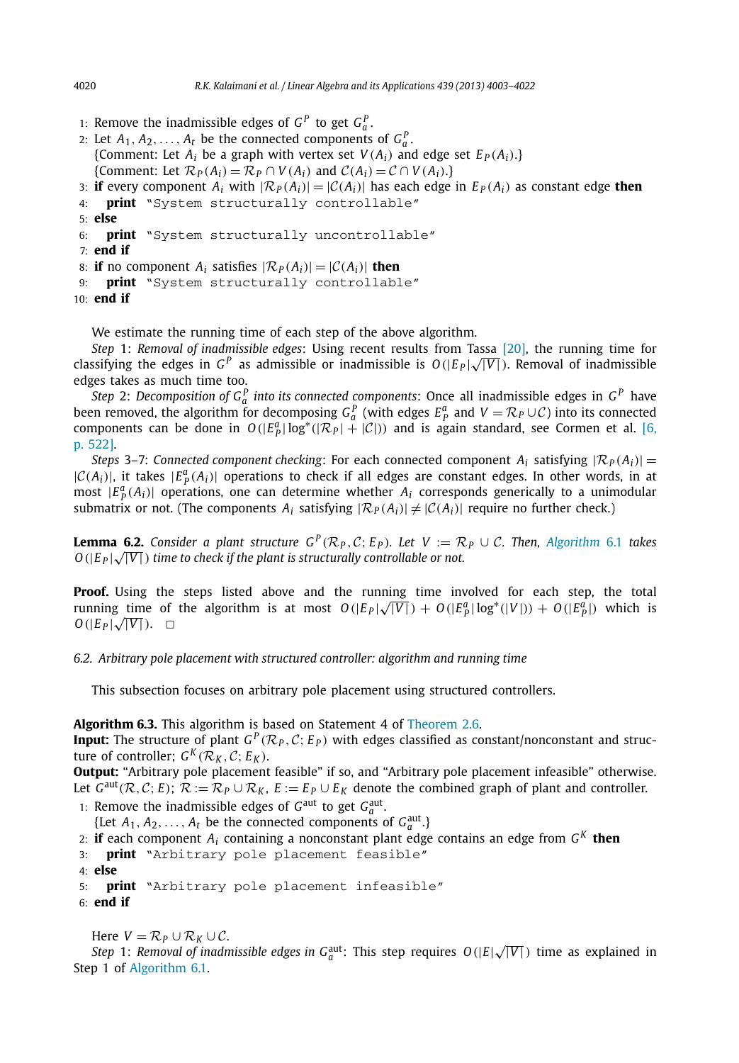- 1: Remove the inadmissible edges of  $G^P$  to get  $G^P_a$ .
- 2: Let  $A_1, A_2, \ldots, A_t$  be the connected components of  $G_a^P$ . {Comment: Let  $A_i$  be a graph with vertex set  $V(A_i)$  and edge set  $E_P(A_i)$ .} {Comment: Let  $\mathcal{R}_P(A_i) = \mathcal{R}_P \cap V(A_i)$  and  $\mathcal{C}(A_i) = \mathcal{C} \cap V(A_i)$ .}
- 3: **if** every component  $A_i$  with  $|\mathcal{R}_P(A_i)| = |\mathcal{C}(A_i)|$  has each edge in  $E_P(A_i)$  as constant edge **then**  $\mathbf{a}$ *i* **originally** controllable"
- print "System structurally controllable"
- 5: **else**
- 6: **print** "System structurally uncontrollable"
- 7: **end if**
- 8: **if** no component  $A_i$  satisfies  $|\mathcal{R}_P(A_i)| = |\mathcal{C}(A_i)|$  then<br>9: **print** "System structurally controllable"
- print "System structurally controllable"

```
10: end if
```
We estimate the running time of each step of the above algorithm.

*Step* 1: *Removal of inadmissible edges*: Using recent results from Tassa [20], the running time for classifying the edges in  $G^P$  as admissible or inadmissible is  $O(|E_P|\sqrt{|V|})$ . Removal of inadmissible edges takes as much time too.

*Step* 2: *Decomposition of G*<sub>*P*</sub><sup>*n*</sup> into its connected components: Once all inadmissible edges in G<sup>P</sup> have been removed, the algorithm for decomposing  $G_q^p$  (with edges  $E_p^q$  and  $V = \mathcal{R}_P \cup \mathcal{C}$ ) into its connected been removed, the algorithm for decomposing  $G_q^p$  (with edges  $E_p^q$  and  $V = \mathcal{R}_P \cup \mathcal{C}$ ) into its con components can be done in  $O(|E_p^a| \log^*(|\mathcal{R}_p| + |\mathcal{C}|))$  and is again standard, see Cormen et al. [6, p. 522].

*Steps* 3–7: *Connected component checking*: For each connected component  $A_i$  satisfying  $|\mathcal{R}_P(A_i)| =$  $|C(A_i)|$ , it takes  $|E_p^a(A_i)|$  operations to check if all edges are constant edges. In other words, in at most  $|E_P^a(A_i)|$  operations, one can determine whether  $A_i$  corresponds generically to a unimodular submatrix or not. (The components  $A_i$  satisfying  $|\mathcal{R}_P(A_i)| \neq |\mathcal{C}(A_i)|$  require no further check.)

**Lemma 6.2.** Consider a plant structure  $G^P(\mathcal{R}_P, \mathcal{C}; E_P)$ . Let  $V := \mathcal{R}_P \cup \mathcal{C}$ . Then, Algorithm 6.1 takes  $O(|E_P|\sqrt{|V|})$  *time to check if the plant is structurally controllable or not.* 

**Proof.** Using the steps listed above and the running time involved for each step, the total running time of the algorithm is at most  $O(|E_P|\sqrt{|V|}) + O(|E_P^a|\log^*(|V|)) + O(|E_P^a|)$  which is *O*( $|E_P|$  √  $|V|$ ). □

*6.2. Arbitrary pole placement with structured controller: algorithm and running time*

This subsection focuses on arbitrary pole placement using structured controllers.

**Algorithm 6.3.** This algorithm is based on Statement 4 of Theorem 2.6.

**Input:** The structure of plant  $G^P(\mathcal{R}_P, \mathcal{C}; E_P)$  with edges classified as constant/nonconstant and structure of controller;  $G^K(\mathcal{R}_K, \mathcal{C}; E_K)$ .

**Output:** "Arbitrary pole placement feasible" if so, and "Arbitrary pole placement infeasible" otherwise. Let  $G^{\text{aut}}(\mathcal{R}, \mathcal{C}; E)$ ;  $\mathcal{R} := \mathcal{R}_P \cup \mathcal{R}_K$ ,  $E := E_P \cup E_K$  denote the combined graph of plant and controller.

1: Remove the inadmissible edges of  $G<sup>aut</sup>$  to get  $G<sup>aut</sup><sub>a</sub>$ .

{Let  $A_1, A_2, \ldots, A_t$  be the connected components of  $G_a^{\text{aut}}$ .}

- 2: **if** each component *A<sup>i</sup>* containing a nonconstant plant edge contains an edge from *G K* **then**
- 3: **print** "Arbitrary pole placement feasible"
- 4: **else**

```
5: print "Arbitrary pole placement infeasible"
```
6: **end if**

Here  $V = \mathcal{R}_P \cup \mathcal{R}_K \cup \mathcal{C}$ .

*Step* 1: *Removal of inadmissible edges in*  $G_a^{\text{aut}}$ : This step requires  $O(|E|\sqrt{|V|})$  time as explained in Step 1 of Algorithm 6.1.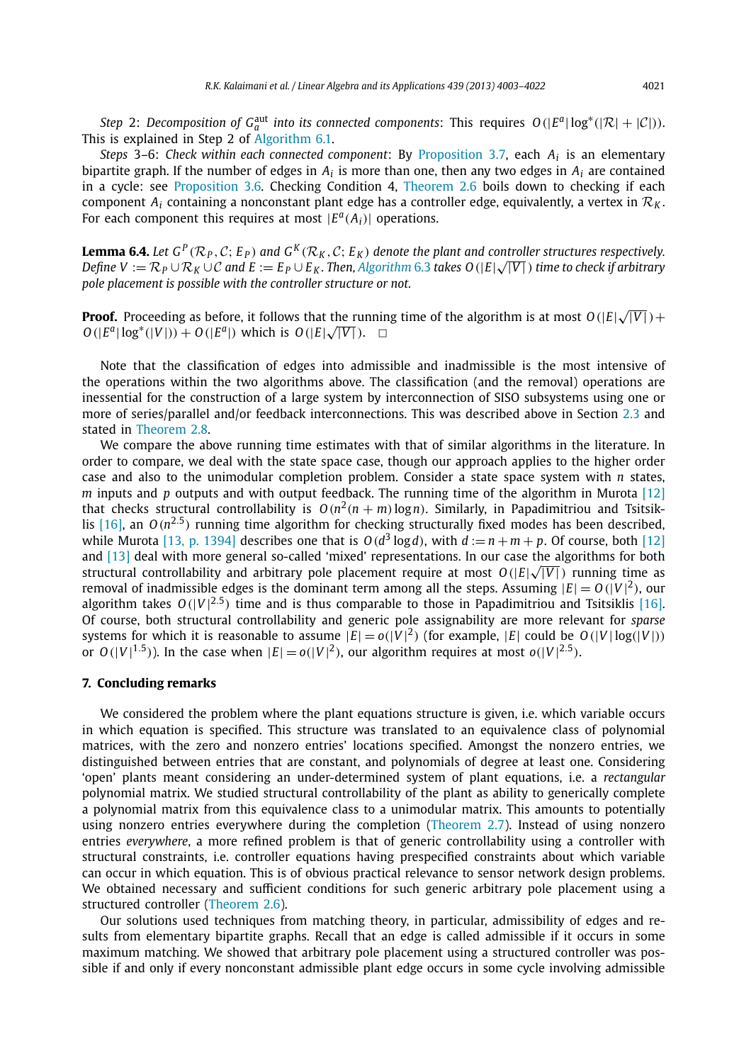*Step* 2: *Decomposition of*  $G_a^{\text{aut}}$  *into its connected components*: This requires  $O(|E^a| \log^*(|\mathcal{R}| + |\mathcal{C}|))$ . This is explained in Step 2 of Algorithm 6.1.

*Steps* 3–6: *Check within each connected component*: By Proposition 3.7, each *A<sup>i</sup>* is an elementary bipartite graph. If the number of edges in  $A_i$  is more than one, then any two edges in  $A_i$  are contained in a cycle: see Proposition 3.6. Checking Condition 4, Theorem 2.6 boils down to checking if each component  $A_i$  containing a nonconstant plant edge has a controller edge, equivalently, a vertex in  $\mathcal{R}_k$ . For each component this requires at most  $|E^a(A_i)|$  operations.

**Lemma 6.4.** Let  $G^P(\mathcal{R}_P, \mathcal{C}; E_P)$  and  $G^K(\mathcal{R}_K, \mathcal{C}; E_K)$  denote the plant and controller structures respectively. *Define V* :=  $\mathcal{R}_P \cup \mathcal{R}_K \cup \mathcal{C}$  and  $E := E_P \cup E_K$ . Then, Algorithm 6.3 takes O(|E|√| $\overline{V|}$ ) time to check if arbitrary *pole placement is possible with the controller structure or not.*

**Proof.** Proceeding as before, it follows that the running time of the algorithm is at most  $O(|E|\sqrt{|V|}) +$ *O*(|*E*<sup>a</sup>| log<sup>\*</sup>(|*V*|)) + *O*(|*E*<sup>a</sup>|) which is *O*(|*E*|√|*V*|). □

Note that the classification of edges into admissible and inadmissible is the most intensive of the operations within the two algorithms above. The classification (and the removal) operations are inessential for the construction of a large system by interconnection of SISO subsystems using one or more of series/parallel and/or feedback interconnections. This was described above in Section 2.3 and stated in Theorem 2.8.

We compare the above running time estimates with that of similar algorithms in the literature. In order to compare, we deal with the state space case, though our approach applies to the higher order case and also to the unimodular completion problem. Consider a state space system with *n* states, *m* inputs and *p* outputs and with output feedback. The running time of the algorithm in Murota [12] that checks structural controllability is  $O(n^2(n+m)\log n)$ . Similarly, in Papadimitriou and Tsitsiklis  $[16]$ , an  $O(n^{2.5})$  running time algorithm for checking structurally fixed modes has been described, while Murota [13, p. 1394] describes one that is  $O(d^3 \log d)$ , with  $d := n + m + p$ . Of course, both [12] and [13] deal with more general so-called 'mixed' representations. In our case the algorithms for both structural controllability and arbitrary pole placement require at most  $O(|E| \sqrt{|V|})$  running time as removal of inadmissible edges is the dominant term among all the steps. Assuming  $|E| = O(|V|^2)$ , our algorithm takes  $O(|V|^{2.5})$  time and is thus comparable to those in Papadimitriou and Tsitsiklis [16]. Of course, both structural controllability and generic pole assignability are more relevant for *sparse* systems for which it is reasonable to assume  $|E| = o(|V|^2)$  (for example,  $|E|$  could be  $O(|V|\log(|V|))$ ) or  $O(|V|^{1.5})$ ). In the case when  $|E| = o(|V|^2)$ , our algorithm requires at most  $o(|V|^{2.5})$ .

#### **7. Concluding remarks**

We considered the problem where the plant equations structure is given, i.e. which variable occurs in which equation is specified. This structure was translated to an equivalence class of polynomial matrices, with the zero and nonzero entries' locations specified. Amongst the nonzero entries, we distinguished between entries that are constant, and polynomials of degree at least one. Considering 'open' plants meant considering an under-determined system of plant equations, i.e. a *rectangular* polynomial matrix. We studied structural controllability of the plant as ability to generically complete a polynomial matrix from this equivalence class to a unimodular matrix. This amounts to potentially using nonzero entries everywhere during the completion (Theorem 2.7). Instead of using nonzero entries *everywhere*, a more refined problem is that of generic controllability using a controller with structural constraints, i.e. controller equations having prespecified constraints about which variable can occur in which equation. This is of obvious practical relevance to sensor network design problems. We obtained necessary and sufficient conditions for such generic arbitrary pole placement using a structured controller (Theorem 2.6).

Our solutions used techniques from matching theory, in particular, admissibility of edges and results from elementary bipartite graphs. Recall that an edge is called admissible if it occurs in some maximum matching. We showed that arbitrary pole placement using a structured controller was possible if and only if every nonconstant admissible plant edge occurs in some cycle involving admissible